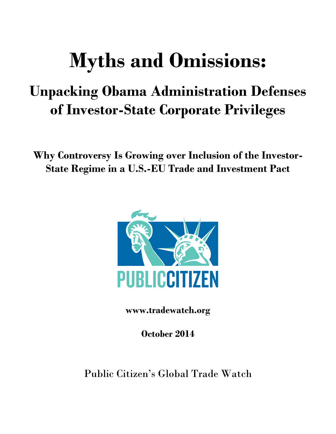# **Myths and Omissions:**

# **Unpacking Obama Administration Defenses of Investor-State Corporate Privileges**

**Why Controversy Is Growing over Inclusion of the Investor-State Regime in a U.S.-EU Trade and Investment Pact**



**www.tradewatch.org**

**October 2014**

Public Citizen's Global Trade Watch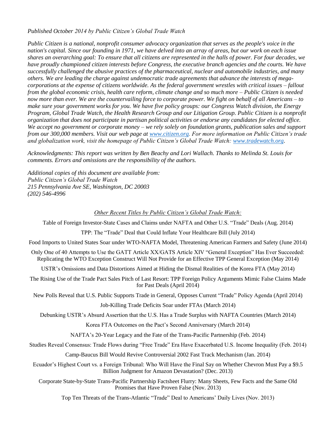*Published October 2014 by Public Citizen's Global Trade Watch* 

*Public Citizen is a national, nonprofit consumer advocacy organization that serves as the people's voice in the nation's capital. Since our founding in 1971, we have delved into an array of areas, but our work on each issue shares an overarching goal: To ensure that all citizens are represented in the halls of power. For four decades, we have proudly championed citizen interests before Congress, the executive branch agencies and the courts. We have successfully challenged the abusive practices of the pharmaceutical, nuclear and automobile industries, and many others. We are leading the charge against undemocratic trade agreements that advance the interests of megacorporations at the expense of citizens worldwide. As the federal government wrestles with critical issues – fallout from the global economic crisis, health care reform, climate change and so much more – Public Citizen is needed now more than ever. We are the countervailing force to corporate power. We fight on behalf of all Americans – to make sure your government works for you. We have five policy groups: our Congress Watch division, the Energy Program, Global Trade Watch, the Health Research Group and our Litigation Group. Public Citizen is a nonprofit organization that does not participate in partisan political activities or endorse any candidates for elected office. We accept no government or corporate money – we rely solely on foundation grants, publication sales and support from our 300,000 members. Visit our web page at [www.citizen.org.](http://www.citizen.org/) For more information on Public Citizen's trade and globalization work, visit the homepage of Public Citizen's Global Trade Watch: [www.tradewatch.org.](http://www.tradewatch.org/)* 

*Acknowledgments: This report was written by Ben Beachy and Lori Wallach. Thanks to Melinda St. Louis for comments. Errors and omissions are the responsibility of the authors.* 

*Additional copies of this document are available from: Public Citizen's Global Trade Watch 215 Pennsylvania Ave SE, Washington, DC 20003 (202) 546-4996*

#### *Other Recent Titles by Public Citizen's Global Trade Watch:*

Table of Foreign Investor-State Cases and Claims under NAFTA and Other U.S. "Trade" Deals (Aug. 2014)

TPP: The "Trade" Deal that Could Inflate Your Healthcare Bill (July 2014)

Food Imports to United States Soar under WTO-NAFTA Model, Threatening American Farmers and Safety (June 2014)

Only One of 40 Attempts to Use the GATT Article XX/GATS Article XIV "General Exception" Has Ever Succeeded: Replicating the WTO Exception Construct Will Not Provide for an Effective TPP General Exception (May 2014)

USTR's Omissions and Data Distortions Aimed at Hiding the Dismal Realities of the Korea FTA (May 2014)

The Rising Use of the Trade Pact Sales Pitch of Last Resort: TPP Foreign Policy Arguments Mimic False Claims Made for Past Deals (April 2014)

New Polls Reveal that U.S. Public Supports Trade in General, Opposes Current "Trade" Policy Agenda (April 2014)

Job-Killing Trade Deficits Soar under FTAs (March 2014)

Debunking USTR's Absurd Assertion that the U.S. Has a Trade Surplus with NAFTA Countries (March 2014)

Korea FTA Outcomes on the Pact's Second Anniversary (March 2014)

NAFTA's 20-Year Legacy and the Fate of the Trans-Pacific Partnership (Feb. 2014)

Studies Reveal Consensus: Trade Flows during "Free Trade" Era Have Exacerbated U.S. Income Inequality (Feb. 2014)

Camp-Baucus Bill Would Revive Controversial 2002 Fast Track Mechanism (Jan. 2014)

Ecuador's Highest Court vs. a Foreign Tribunal: Who Will Have the Final Say on Whether Chevron Must Pay a \$9.5 Billion Judgment for Amazon Devastation? (Dec. 2013)

Corporate State-by-State Trans-Pacific Partnership Factsheet Flurry: Many Sheets, Few Facts and the Same Old Promises that Have Proven False (Nov. 2013)

Top Ten Threats of the Trans-Atlantic "Trade" Deal to Americans' Daily Lives (Nov. 2013)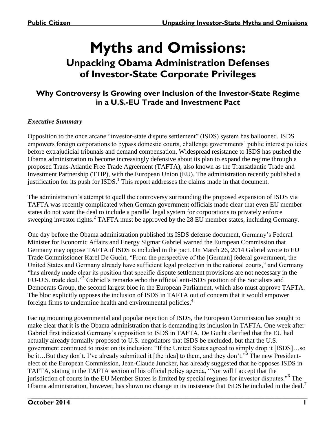# **Myths and Omissions:**

# **Unpacking Obama Administration Defenses of Investor-State Corporate Privileges**

## **Why Controversy Is Growing over Inclusion of the Investor-State Regime in a U.S.-EU Trade and Investment Pact**

### *Executive Summary*

Opposition to the once arcane "investor-state dispute settlement" (ISDS) system has ballooned. ISDS empowers foreign corporations to bypass domestic courts, challenge governments' public interest policies before extrajudicial tribunals and demand compensation. Widespread resistance to ISDS has pushed the Obama administration to become increasingly defensive about its plan to expand the regime through a proposed Trans-Atlantic Free Trade Agreement (TAFTA), also known as the Transatlantic Trade and Investment Partnership (TTIP), with the European Union (EU). The administration recently published a justification for its push for  $ISDS<sup>1</sup>$ . This report addresses the claims made in that document.

The administration's attempt to quell the controversy surrounding the proposed expansion of ISDS via TAFTA was recently complicated when German government officials made clear that even EU member states do not want the deal to include a parallel legal system for corporations to privately enforce sweeping investor rights.<sup>2</sup> TAFTA must be approved by the 28 EU member states, including Germany.

One day before the Obama administration published its ISDS defense document, Germany's Federal Minister for Economic Affairs and Energy Sigmar Gabriel warned the European Commission that Germany may oppose TAFTA if ISDS is included in the pact. On March 26, 2014 Gabriel wrote to EU Trade Commissioner Karel De Gucht, "From the perspective of the [German] federal government, the United States and Germany already have sufficient legal protection in the national courts," and Germany "has already made clear its position that specific dispute settlement provisions are not necessary in the EU-U.S. trade deal."<sup>3</sup> Gabriel's remarks echo the official anti-ISDS position of the Socialists and Democrats Group, the second largest bloc in the European Parliament, which also must approve TAFTA. The bloc explicitly opposes the inclusion of ISDS in TAFTA out of concern that it would empower foreign firms to undermine health and environmental policies.<sup>4</sup>

Facing mounting governmental and popular rejection of ISDS, the European Commission has sought to make clear that it is the Obama administration that is demanding its inclusion in TAFTA. One week after Gabriel first indicated Germany's opposition to ISDS in TAFTA, De Gucht clarified that the EU had actually already formally proposed to U.S. negotiators that ISDS be excluded, but that the U.S. government continued to insist on its inclusion: "If the United States agreed to simply drop it [ISDS]…so be it...But they don't. I've already submitted it [the idea] to them, and they don't."<sup>5</sup> The new Presidentelect of the European Commission, Jean-Claude Juncker, has already suggested that he opposes ISDS in TAFTA, stating in the TAFTA section of his official policy agenda, "Nor will I accept that the jurisdiction of courts in the EU Member States is limited by special regimes for investor disputes."<sup>6</sup> The Obama administration, however, has shown no change in its insistence that ISDS be included in the deal.<sup>7</sup>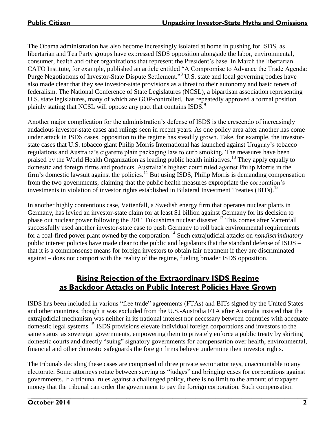The Obama administration has also become increasingly isolated at home in pushing for ISDS, as libertarian and Tea Party groups have expressed ISDS opposition alongside the labor, environmental, consumer, health and other organizations that represent the President's base. In March the libertarian CATO Institute, for example, published an article entitled "A Compromise to Advance the Trade Agenda: Purge Negotiations of Investor-State Dispute Settlement."<sup>8</sup> U.S. state and local governing bodies have also made clear that they see investor-state provisions as a threat to their autonomy and basic tenets of federalism. The National Conference of State Legislatures (NCSL), a bipartisan association representing U.S. state legislatures, many of which are GOP-controlled, has repeatedly approved a formal position plainly stating that NCSL will oppose any pact that contains ISDS.<sup>9</sup>

Another major complication for the administration's defense of ISDS is the crescendo of increasingly audacious investor-state cases and rulings seen in recent years. As one policy area after another has come under attack in ISDS cases, opposition to the regime has steadily grown. Take, for example, the investorstate cases that U.S. tobacco giant Philip Morris International has launched against Uruguay's tobacco regulations and Australia's cigarette plain packaging law to curb smoking. The measures have been praised by the World Health Organization as leading public health initiatives.<sup>10</sup> They apply equally to domestic and foreign firms and products. Australia's highest court ruled against Philip Morris in the firm's domestic lawsuit against the policies.<sup>11</sup> But using ISDS, Philip Morris is demanding compensation from the two governments, claiming that the public health measures expropriate the corporation's investments in violation of investor rights established in Bilateral Investment Treaties (BITs). 12

In another highly contentious case, Vattenfall, a Swedish energy firm that operates nuclear plants in Germany, has levied an investor-state claim for at least \$1 billion against Germany for its decision to phase out nuclear power following the 2011 Fukushima nuclear disaster.<sup>13</sup> This comes after Vattenfall successfully used another investor-state case to push Germany to roll back environmental requirements for a coal-fired power plant owned by the corporation.<sup>14</sup> Such extrajudicial attacks on *nondiscriminatory* public interest policies have made clear to the public and legislators that the standard defense of ISDS – that it is a commonsense means for foreign investors to obtain fair treatment if they are discriminated against – does not comport with the reality of the regime, fueling broader ISDS opposition.

## **Rising Rejection of the Extraordinary ISDS Regime as Backdoor Attacks on Public Interest Policies Have Grown**

ISDS has been included in various "free trade" agreements (FTAs) and BITs signed by the United States and other countries, though it was excluded from the U.S.-Australia FTA after Australia insisted that the extrajudicial mechanism was neither in its national interest nor necessary between countries with adequate domestic legal systems.<sup>15</sup> ISDS provisions elevate individual foreign corporations and investors to the same status as sovereign governments, empowering them to privately enforce a public treaty by skirting domestic courts and directly "suing" signatory governments for compensation over health, environmental, financial and other domestic safeguards the foreign firms believe undermine their investor rights.

The tribunals deciding these cases are comprised of three private sector attorneys, unaccountable to any electorate. Some attorneys rotate between serving as "judges" and bringing cases for corporations against governments. If a tribunal rules against a challenged policy, there is no limit to the amount of taxpayer money that the tribunal can order the government to pay the foreign corporation. Such compensation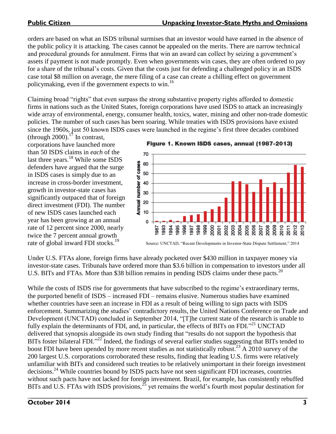orders are based on what an ISDS tribunal surmises that an investor would have earned in the absence of the public policy it is attacking. The cases cannot be appealed on the merits. There are narrow technical and procedural grounds for annulment. Firms that win an award can collect by seizing a government's assets if payment is not made promptly. Even when governments win cases, they are often ordered to pay for a share of the tribunal's costs. Given that the costs just for defending a challenged policy in an ISDS case total \$8 million on average, the mere filing of a case can create a chilling effect on government policymaking, even if the government expects to win.<sup>16</sup>

Claiming broad "rights" that even surpass the strong substantive property rights afforded to domestic firms in nations such as the United States, foreign corporations have used ISDS to attack an increasingly wide array of environmental, energy, consumer health, toxics, water, mining and other non-trade domestic policies. The number of such cases has been soaring. While treaties with ISDS provisions have existed since the 1960s, just 50 known ISDS cases were launched in the regime's first three decades combined

(through 2000).<sup>17</sup> In contrast, corporations have launched more than 50 ISDS claims in *each* of the last three years.<sup>18</sup> While some ISDS defenders have argued that the surge in ISDS cases is simply due to an increase in cross-border investment, growth in investor-state cases has significantly outpaced that of foreign direct investment (FDI). The number of new ISDS cases launched each year has been growing at an annual rate of 12 percent since 2000, nearly twice the 7 percent annual growth rate of global inward FDI stocks.<sup>19</sup>

Figure 1. Known ISDS cases, annual (1987-2013)



Source: UNCTAD, "Recent Developments in Investor-State Dispute Settlement," 2014

Under U.S. FTAs alone, foreign firms have already pocketed over \$430 million in taxpayer money via investor-state cases. Tribunals have ordered more than \$3.6 billion in compensation to investors under all U.S. BITs and FTAs. More than \$38 billion remains in pending ISDS claims under these pacts.<sup>20</sup>

While the costs of ISDS rise for governments that have subscribed to the regime's extraordinary terms, the purported benefit of ISDS – increased FDI – remains elusive. Numerous studies have examined whether countries have seen an increase in FDI as a result of being willing to sign pacts with ISDS enforcement. Summarizing the studies' contradictory results, the United Nations Conference on Trade and Development (UNCTAD) concluded in September 2014, "[T]he current state of the research is unable to fully explain the determinants of FDI, and, in particular, the effects of BITs on FDI."<sup>21</sup> UNCTAD delivered that synopsis alongside its own study finding that "results do not support the hypothesis that BITs foster bilateral FDI."<sup>22</sup> Indeed, the findings of several earlier studies suggesting that BITs tended to boost FDI have been upended by more recent studies as not statistically robust.<sup>23</sup> A 2010 survey of the 200 largest U.S. corporations corroborated these results, finding that leading U.S. firms were relatively unfamiliar with BITs and considered such treaties to be relatively unimportant in their foreign investment decisions. <sup>24</sup> While countries bound by ISDS pacts have not seen significant FDI increases, countries without such pacts have not lacked for foreign investment. Brazil, for example, has consistently rebuffed BITs and U.S. FTAs with ISDS provisions,<sup>25</sup> yet remains the world's fourth most popular destination for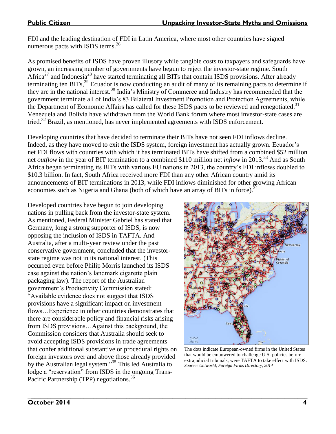FDI and the leading destination of FDI in Latin America, where most other countries have signed numerous pacts with ISDS terms.<sup>26</sup>

As promised benefits of ISDS have proven illusory while tangible costs to taxpayers and safeguards have grown, an increasing number of governments have begun to reject the investor-state regime. South Africa<sup>27</sup> and Indonesia<sup>28</sup> have started terminating all BITs that contain ISDS provisions. After already terminating ten BITs,<sup>29</sup> Ecuador is now conducting an audit of many of its remaining pacts to determine if they are in the national interest.<sup>30</sup> India's Ministry of Commerce and Industry has recommended that the government terminate all of India's 83 Bilateral Investment Promotion and Protection Agreements, while the Department of Economic Affairs has called for these ISDS pacts to be reviewed and renegotiated.<sup>31</sup> Venezuela and Bolivia have withdrawn from the World Bank forum where most investor-state cases are tried.<sup>32</sup> Brazil, as mentioned, has never implemented agreements with ISDS enforcement.

Developing countries that have decided to terminate their BITs have not seen FDI inflows decline. Indeed, as they have moved to exit the ISDS system, foreign investment has actually grown. Ecuador's net FDI flows with countries with which it has terminated BITs have shifted from a combined \$52 million net *outflow* in the year of BIT termination to a combined \$110 million net *inflow* in 2013.<sup>33</sup> And as South Africa began terminating its BITs with various EU nations in 2013, the country's FDI inflows doubled to \$10.3 billion. In fact, South Africa received more FDI than any other African country amid its announcements of BIT terminations in 2013, while FDI inflows diminished for other growing African economies such as Nigeria and Ghana (both of which have an array of BITs in force).<sup>34</sup>

Developed countries have begun to join developing nations in pulling back from the investor-state system. As mentioned, Federal Minister Gabriel has stated that Germany, long a strong supporter of ISDS, is now opposing the inclusion of ISDS in TAFTA. And Australia, after a multi-year review under the past conservative government, concluded that the investorstate regime was not in its national interest. (This occurred even before Philip Morris launched its ISDS case against the nation's landmark cigarette plain packaging law). The report of the Australian government's Productivity Commission stated: "Available evidence does not suggest that ISDS provisions have a significant impact on investment flows…Experience in other countries demonstrates that there are considerable policy and financial risks arising from ISDS provisions…Against this background, the Commission considers that Australia should seek to avoid accepting ISDS provisions in trade agreements that confer additional substantive or procedural rights on foreign investors over and above those already provided by the Australian legal system." <sup>35</sup> This led Australia to lodge a "reservation" from ISDS in the ongoing Trans-Pacific Partnership (TPP) negotiations.<sup>36</sup>



The dots indicate European-owned firms in the United States that would be empowered to challenge U.S. policies before extrajudicial tribunals, were TAFTA to take effect with ISDS. *Source: Uniworld, Foreign Firms Directory, 2014*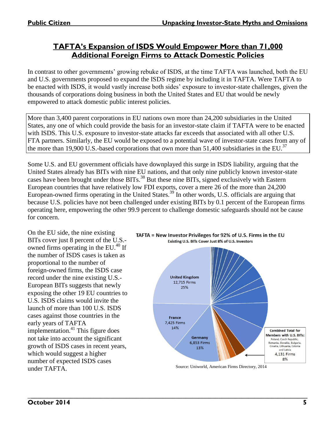# **TAFTA's Expansion of ISDS Would Empower More than 71,000 Additional Foreign Firms to Attack Domestic Policies**

In contrast to other governments' growing rebuke of ISDS, at the time TAFTA was launched, both the EU and U.S. governments proposed to expand the ISDS regime by including it in TAFTA. Were TAFTA to be enacted with ISDS, it would vastly increase both sides' exposure to investor-state challenges, given the thousands of corporations doing business in both the United States and EU that would be newly empowered to attack domestic public interest policies.

More than 3,400 parent corporations in EU nations own more than 24,200 subsidiaries in the United States, any one of which could provide the basis for an investor-state claim if TAFTA were to be enacted with ISDS. This U.S. exposure to investor-state attacks far exceeds that associated with all other U.S. FTA partners. Similarly, the EU would be exposed to a potential wave of investor-state cases from any of the more than 19,900 U.S.-based corporations that own more than 51,400 subsidiaries in the EU.<sup>37</sup>

Some U.S. and EU government officials have downplayed this surge in ISDS liability, arguing that the United States already has BITs with nine EU nations, and that only nine publicly known investor-state cases have been brought under those BITs.<sup>38</sup> But these nine BITs, signed exclusively with Eastern European countries that have relatively low FDI exports, cover a mere 26 of the more than 24,200 European-owned firms operating in the United States.<sup>39</sup> In other words, U.S. officials are arguing that because U.S. policies have not been challenged under existing BITs by 0.1 percent of the European firms operating here, empowering the other 99.9 percent to challenge domestic safeguards should not be cause for concern.

On the EU side, the nine existing BITs cover just 8 percent of the U.S. owned firms operating in the EU. $^{40}$  If the number of ISDS cases is taken as proportional to the number of foreign-owned firms, the ISDS case record under the nine existing U.S.- European BITs suggests that newly exposing the other 19 EU countries to U.S. ISDS claims would invite the launch of more than 100 U.S. ISDS cases against those countries in the early years of TAFTA implementation. $41$  This figure does not take into account the significant growth of ISDS cases in recent years, which would suggest a higher number of expected ISDS cases under TAFTA.



#### TAFTA = New Investor Privileges for 92% of U.S. Firms in the EU Existing U.S. BITs Cover Just 8% of U.S. Investors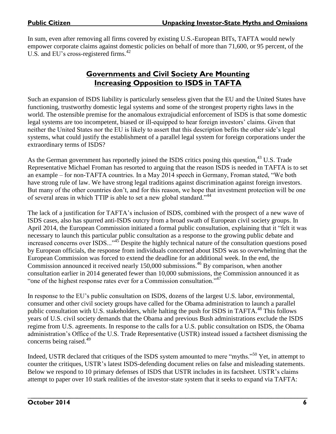In sum, even after removing all firms covered by existing U.S.-European BITs, TAFTA would newly empower corporate claims against domestic policies on behalf of more than 71,600, or 95 percent, of the U.S. and EU's cross-registered firms.<sup>42</sup>

## **Governments and Civil Society Are Mounting Increasing Opposition to ISDS in TAFTA**

Such an expansion of ISDS liability is particularly senseless given that the EU and the United States have functioning, trustworthy domestic legal systems and some of the strongest property rights laws in the world. The ostensible premise for the anomalous extrajudicial enforcement of ISDS is that some domestic legal systems are too incompetent, biased or ill-equipped to hear foreign investors' claims. Given that neither the United States nor the EU is likely to assert that this description befits the other side's legal systems, what could justify the establishment of a parallel legal system for foreign corporations under the extraordinary terms of ISDS?

As the German government has reportedly joined the ISDS critics posing this question,<sup>43</sup> U.S. Trade Representative Michael Froman has resorted to arguing that the reason ISDS is needed in TAFTA is to set an example – for non-TAFTA countries. In a May 2014 speech in Germany, Froman stated, "We both have strong rule of law. We have strong legal traditions against discrimination against foreign investors. But many of the other countries don't, and for this reason, we hope that investment protection will be one of several areas in which TTIP is able to set a new global standard."<sup>44</sup>

The lack of a justification for TAFTA's inclusion of ISDS, combined with the prospect of a new wave of ISDS cases, also has spurred anti-ISDS outcry from a broad swath of European civil society groups. In April 2014, the European Commission initiated a formal public consultation, explaining that it "felt it was necessary to launch this particular public consultation as a response to the growing public debate and increased concerns over ISDS..."<sup>45</sup> Despite the highly technical nature of the consultation questions posed by European officials, the response from individuals concerned about ISDS was so overwhelming that the European Commission was forced to extend the deadline for an additional week. In the end, the Commission announced it received nearly 150,000 submissions. <sup>46</sup> By comparison, when another consultation earlier in 2014 generated fewer than 10,000 submissions, the Commission announced it as "one of the highest response rates ever for a Commission consultation."<sup>47</sup>

In response to the EU's public consultation on ISDS, dozens of the largest U.S. labor, environmental, consumer and other civil society groups have called for the Obama administration to launch a parallel public consultation with U.S. stakeholders, while halting the push for ISDS in TAFTA.<sup>48</sup> This follows years of U.S. civil society demands that the Obama and previous Bush administrations exclude the ISDS regime from U.S. agreements. In response to the calls for a U.S. public consultation on ISDS, the Obama administration's Office of the U.S. Trade Representative (USTR) instead issued a factsheet dismissing the concerns being raised.<sup>49</sup>

Indeed, USTR declared that critiques of the ISDS system amounted to mere "myths."<sup>50</sup> Yet, in attempt to counter the critiques, USTR's latest ISDS-defending document relies on false and misleading statements. Below we respond to 10 primary defenses of ISDS that USTR includes in its factsheet. USTR's claims attempt to paper over 10 stark realities of the investor-state system that it seeks to expand via TAFTA: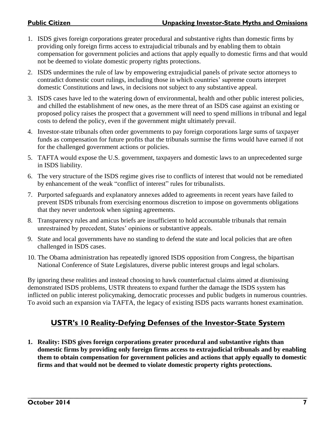- 1. ISDS gives foreign corporations greater procedural and substantive rights than domestic firms by providing only foreign firms access to extrajudicial tribunals and by enabling them to obtain compensation for government policies and actions that apply equally to domestic firms and that would not be deemed to violate domestic property rights protections.
- 2. ISDS undermines the rule of law by empowering extrajudicial panels of private sector attorneys to contradict domestic court rulings, including those in which countries' supreme courts interpret domestic Constitutions and laws, in decisions not subject to any substantive appeal.
- 3. ISDS cases have led to the watering down of environmental, health and other public interest policies, and chilled the establishment of new ones, as the mere threat of an ISDS case against an existing or proposed policy raises the prospect that a government will need to spend millions in tribunal and legal costs to defend the policy, even if the government might ultimately prevail.
- 4. Investor-state tribunals often order governments to pay foreign corporations large sums of taxpayer funds as compensation for future profits that the tribunals surmise the firms would have earned if not for the challenged government actions or policies.
- 5. TAFTA would expose the U.S. government, taxpayers and domestic laws to an unprecedented surge in ISDS liability.
- 6. The very structure of the ISDS regime gives rise to conflicts of interest that would not be remediated by enhancement of the weak "conflict of interest" rules for tribunalists.
- 7. Purported safeguards and explanatory annexes added to agreements in recent years have failed to prevent ISDS tribunals from exercising enormous discretion to impose on governments obligations that they never undertook when signing agreements.
- 8. Transparency rules and amicus briefs are insufficient to hold accountable tribunals that remain unrestrained by precedent, States' opinions or substantive appeals.
- 9. State and local governments have no standing to defend the state and local policies that are often challenged in ISDS cases.
- 10. The Obama administration has repeatedly ignored ISDS opposition from Congress, the bipartisan National Conference of State Legislatures, diverse public interest groups and legal scholars.

By ignoring these realities and instead choosing to hawk counterfactual claims aimed at dismissing demonstrated ISDS problems, USTR threatens to expand further the damage the ISDS system has inflicted on public interest policymaking, democratic processes and public budgets in numerous countries. To avoid such an expansion via TAFTA, the legacy of existing ISDS pacts warrants honest examination.

# **USTR's 10 Reality-Defying Defenses of the Investor-State System**

**1. Reality: ISDS gives foreign corporations greater procedural and substantive rights than domestic firms by providing only foreign firms access to extrajudicial tribunals and by enabling them to obtain compensation for government policies and actions that apply equally to domestic firms and that would not be deemed to violate domestic property rights protections.**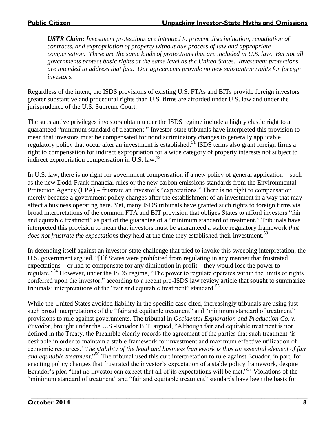*USTR Claim: Investment protections are intended to prevent discrimination, repudiation of contracts, and expropriation of property without due process of law and appropriate compensation. These are the same kinds of protections that are included in U.S. law. But not all governments protect basic rights at the same level as the United States. Investment protections are intended to address that fact. Our agreements provide no new substantive rights for foreign investors.* 

Regardless of the intent, the ISDS provisions of existing U.S. FTAs and BITs provide foreign investors greater substantive and procedural rights than U.S. firms are afforded under U.S. law and under the jurisprudence of the U.S. Supreme Court.

The substantive privileges investors obtain under the ISDS regime include a highly elastic right to a guaranteed "minimum standard of treatment." Investor-state tribunals have interpreted this provision to mean that investors must be compensated for nondiscriminatory changes to generally applicable regulatory policy that occur after an investment is established.<sup>51</sup> ISDS terms also grant foreign firms a right to compensation for indirect expropriation for a wide category of property interests not subject to indirect expropriation compensation in U.S. law. $52$ 

In U.S. law, there is no right for government compensation if a new policy of general application – such as the new Dodd-Frank financial rules or the new carbon emissions standards from the Environmental Protection Agency (EPA) – frustrate an investor's "expectations." There is no right to compensation merely because a government policy changes after the establishment of an investment in a way that may affect a business operating here. Yet, many ISDS tribunals have granted such rights to foreign firms via broad interpretations of the common FTA and BIT provision that obliges States to afford investors "fair and equitable treatment" as part of the guarantee of a "minimum standard of treatment." Tribunals have interpreted this provision to mean that investors must be guaranteed a stable regulatory framework *that does not frustrate the expectations* they held at the time they established their investment.<sup>53</sup>

In defending itself against an investor-state challenge that tried to invoke this sweeping interpretation, the U.S. government argued, "[I]f States were prohibited from regulating in any manner that frustrated expectations – or had to compensate for any diminution in profit – they would lose the power to regulate."<sup>54</sup> However, under the ISDS regime, "The power to regulate operates within the limits of rights conferred upon the investor," according to a recent pro-ISDS law review article that sought to summarize tribunals' interpretations of the "fair and equitable treatment" standard.<sup>55</sup>

While the United States avoided liability in the specific case cited, increasingly tribunals are using just such broad interpretations of the "fair and equitable treatment" and "minimum standard of treatment" provisions to rule against governments. The tribunal in *Occidental Exploration and Production Co. v. Ecuador*, brought under the U.S.-Ecuador BIT, argued, "Although fair and equitable treatment is not defined in the Treaty, the Preamble clearly records the agreement of the parties that such treatment 'is desirable in order to maintain a stable framework for investment and maximum effective utilization of economic resources.' *The stability of the legal and business framework is thus an essential element of fair and equitable treatment*." <sup>56</sup> The tribunal used this curt interpretation to rule against Ecuador, in part, for enacting policy changes that frustrated the investor's expectation of a stable policy framework, despite Ecuador's plea "that no investor can expect that all of its expectations will be met."<sup>57</sup> Violations of the "minimum standard of treatment" and "fair and equitable treatment" standards have been the basis for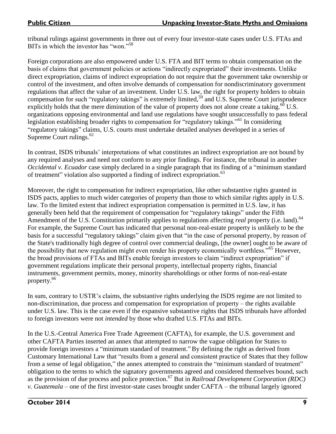tribunal rulings against governments in three out of every four investor-state cases under U.S. FTAs and BITs in which the investor has "won." 58

Foreign corporations are also empowered under U.S. FTA and BIT terms to obtain compensation on the basis of claims that government policies or actions "indirectly expropriated" their investments. Unlike direct expropriation, claims of indirect expropriation do not require that the government take ownership or control of the investment, and often involve demands of compensation for nondiscriminatory government regulations that affect the value of an investment. Under U.S. law, the right for property holders to obtain compensation for such "regulatory takings" is extremely limited,<sup>59</sup> and U.S. Supreme Court jurisprudence explicitly holds that the mere diminution of the value of property does not alone create a taking.<sup>60</sup> U.S. organizations opposing environmental and land use regulations have sought unsuccessfully to pass federal legislation establishing broader rights to compensation for "regulatory takings."<sup>61</sup> In considering "regulatory takings" claims, U.S. courts must undertake detailed analyses developed in a series of Supreme Court rulings.<sup>62</sup>

In contrast, ISDS tribunals' interpretations of what constitutes an indirect expropriation are not bound by any required analyses and need not conform to any prior findings. For instance, the tribunal in another *Occidental v. Ecuador* case simply declared in a single paragraph that its finding of a "minimum standard of treatment" violation also supported a finding of indirect expropriation.<sup>63</sup>

Moreover, the right to compensation for indirect expropriation, like other substantive rights granted in ISDS pacts, applies to much wider categories of property than those to which similar rights apply in U.S. law. To the limited extent that indirect expropriation compensation is permitted in U.S. law, it has generally been held that the requirement of compensation for "regulatory takings" under the Fifth Amendment of the U.S. Constitution primarily applies to regulations affecting *real* property (i.e. land).<sup>64</sup> For example, the Supreme Court has indicated that personal non-real-estate property is unlikely to be the basis for a successful "regulatory takings" claim given that "in the case of personal property, by reason of the State's traditionally high degree of control over commercial dealings, [the owner] ought to be aware of the possibility that new regulation might even render his property economically worthless."<sup>65</sup> However, the broad provisions of FTAs and BITs enable foreign investors to claim "indirect expropriation" if government regulations implicate their personal property, intellectual property rights, financial instruments, government permits, money, minority shareholdings or other forms of non-real-estate property.<sup>66</sup>

In sum, contrary to USTR's claims, the substantive rights underlying the ISDS regime are not limited to non-discrimination, due process and compensation for expropriation of property – the rights available under U.S. law. This is the case even if the expansive substantive rights that ISDS tribunals have afforded to foreign investors were not *intended* by those who drafted U.S. FTAs and BITs.

In the U.S.-Central America Free Trade Agreement (CAFTA), for example, the U.S. government and other CAFTA Parties inserted an annex that attempted to narrow the vague obligation for States to provide foreign investors a "minimum standard of treatment."By defining the right as derived from Customary International Law that "results from a general and consistent practice of States that they follow from a sense of legal obligation," the annex attempted to constrain the "minimum standard of treatment" obligation to the terms to which the signatory governments agreed and considered themselves bound, such as the provision of due process and police protection.<sup>67</sup> But in *Railroad Development Corporation (RDC) v. Guatemala* – one of the first investor-state cases brought under CAFTA – the tribunal largely ignored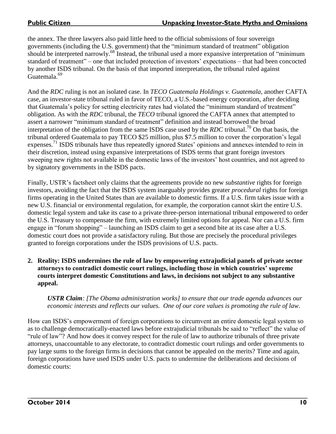the annex. The three lawyers also paid little heed to the official submissions of four sovereign governments (including the U.S. government) that the "minimum standard of treatment" obligation should be interpreted narrowly.<sup>68</sup> Instead, the tribunal used a more expansive interpretation of "minimum" standard of treatment" – one that included protection of investors' expectations – that had been concocted by another ISDS tribunal. On the basis of that imported interpretation, the tribunal ruled against Guatemala.<sup>69</sup>

And the *RDC* ruling is not an isolated case. In *TECO Guatemala Holdings v. Guatemala*, another CAFTA case, an investor-state tribunal ruled in favor of TECO, a U.S.-based energy corporation, after deciding that Guatemala's policy for setting electricity rates had violated the "minimum standard of treatment" obligation. As with the *RDC* tribunal, the *TECO* tribunal ignored the CAFTA annex that attempted to assert a narrower "minimum standard of treatment" definition and instead borrowed the broad interpretation of the obligation from the same ISDS case used by the *RDC* tribunal.<sup>70</sup> On that basis, the tribunal ordered Guatemala to pay TECO \$25 million, plus \$7.5 million to cover the corporation's legal expenses.<sup>71</sup> ISDS tribunals have thus repeatedly ignored States' opinions and annexes intended to rein in their discretion, instead using expansive interpretations of ISDS terms that grant foreign investors sweeping new rights not available in the domestic laws of the investors' host countries, and not agreed to by signatory governments in the ISDS pacts.

Finally, USTR's factsheet only claims that the agreements provide no new *substantive* rights for foreign investors, avoiding the fact that the ISDS system inarguably provides greater *procedural* rights for foreign firms operating in the United States than are available to domestic firms. If a U.S. firm takes issue with a new U.S. financial or environmental regulation, for example, the corporation cannot skirt the entire U.S. domestic legal system and take its case to a private three-person international tribunal empowered to order the U.S. Treasury to compensate the firm, with extremely limited options for appeal. Nor can a U.S. firm engage in "forum shopping" – launching an ISDS claim to get a second bite at its case after a U.S. domestic court does not provide a satisfactory ruling. But those are precisely the procedural privileges granted to foreign corporations under the ISDS provisions of U.S. pacts.

**2. Reality: ISDS undermines the rule of law by empowering extrajudicial panels of private sector attorneys to contradict domestic court rulings, including those in which countries' supreme courts interpret domestic Constitutions and laws, in decisions not subject to any substantive appeal.**

*USTR Claim: [The Obama administration works] to ensure that our trade agenda advances our economic interests and reflects our values. One of our core values is promoting the rule of law.* 

How can ISDS's empowerment of foreign corporations to circumvent an entire domestic legal system so as to challenge democratically-enacted laws before extrajudicial tribunals be said to "reflect" the value of "rule of law"? And how does it convey respect for the rule of law to authorize tribunals of three private attorneys, unaccountable to any electorate, to contradict domestic court rulings and order governments to pay large sums to the foreign firms in decisions that cannot be appealed on the merits? Time and again, foreign corporations have used ISDS under U.S. pacts to undermine the deliberations and decisions of domestic courts: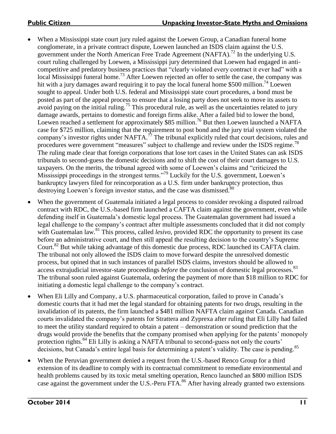- When a Mississippi state court jury ruled against the Loewen Group, a Canadian funeral home conglomerate, in a private contract dispute, Loewen launched an ISDS claim against the U.S. government under the North American Free Trade Agreement (NAFTA).<sup>72</sup> In the underlying U.S. court ruling challenged by Loewen, a Mississippi jury determined that Loewen had engaged in anticompetitive and predatory business practices that "clearly violated every contract it ever had" with a local Mississippi funeral home.<sup>73</sup> After Loewen rejected an offer to settle the case, the company was hit with a jury damages award requiring it to pay the local funeral home \$500 million.<sup>74</sup> Loewen sought to appeal. Under both U.S. federal and Mississippi state court procedures, a bond must be posted as part of the appeal process to ensure that a losing party does not seek to move its assets to avoid paying on the initial ruling.<sup>75</sup> This procedural rule, as well as the uncertainties related to jury damage awards, pertains to domestic and foreign firms alike. After a failed bid to lower the bond, Loewen reached a settlement for approximately \$85 million.<sup>76</sup> But then Loewen launched a NAFTA case for \$725 million, claiming that the requirement to post bond and the jury trial system violated the company's investor rights under NAFTA.<sup> $7$ </sup> The tribunal explicitly ruled that court decisions, rules and procedures were government "measures" subject to challenge and review under the ISDS regime.<sup>78</sup> The ruling made clear that foreign corporations that lose tort cases in the United States can ask ISDS tribunals to second-guess the domestic decisions and to shift the cost of their court damages to U.S. taxpayers. On the merits, the tribunal agreed with some of Loewen's claims and "criticized the Mississippi proceedings in the strongest terms."<sup>79</sup> Luckily for the U.S. government, Loewen's bankruptcy lawyers filed for reincorporation as a U.S. firm under bankruptcy protection, thus destroying Loewen's foreign investor status, and the case was dismissed.<sup>80</sup>
- When the government of Guatemala initiated a legal process to consider revoking a disputed railroad contract with RDC, the U.S.-based firm launched a CAFTA claim against the government, even while defending itself in Guatemala's domestic legal process. The Guatemalan government had issued a legal challenge to the company's contract after multiple assessments concluded that it did not comply with Guatemalan law.<sup>81</sup> This process, called *lesivo*, provided RDC the opportunity to present its case before an administrative court, and then still appeal the resulting decision to the country's Supreme Court.<sup>82</sup> But while taking advantage of this domestic due process, RDC launched its CAFTA claim. The tribunal not only allowed the ISDS claim to move forward despite the unresolved domestic process, but opined that in such instances of parallel ISDS claims, investors should be allowed to access extrajudicial investor-state proceedings *before* the conclusion of domestic legal processes.<sup>83</sup> The tribunal soon ruled against Guatemala, ordering the payment of more than \$18 million to RDC for initiating a domestic legal challenge to the company's contract.
- When Eli Lilly and Company, a U.S. pharmaceutical corporation, failed to prove in Canada's domestic courts that it had met the legal standard for obtaining patents for two drugs, resulting in the invalidation of its patents, the firm launched a \$481 million NAFTA claim against Canada. Canadian courts invalidated the company's patents for Strattera and Zyprexa after ruling that Eli Lilly had failed to meet the utility standard required to obtain a patent – demonstration or sound prediction that the drugs would provide the benefits that the company promised when applying for the patents' monopoly protection rights.<sup>84</sup> Eli Lilly is asking a NAFTA tribunal to second-guess not only the courts' decisions, but Canada's entire legal basis for determining a patent's validity. The case is pending.<sup>85</sup>
- When the Peruvian government denied a request from the U.S.-based Renco Group for a third extension of its deadline to comply with its contractual commitment to remediate environmental and health problems caused by its toxic metal smelting operation, Renco launched an \$800 million ISDS case against the government under the U.S.-Peru  $\overline{FIA}^{86}$  After having already granted two extensions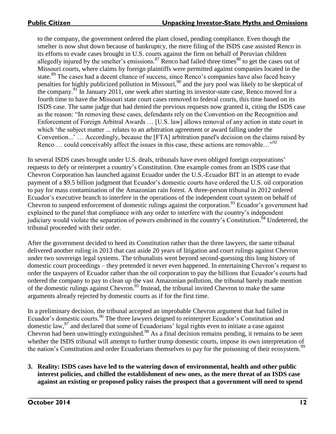to the company, the government ordered the plant closed, pending compliance. Even though the smelter is now shut down because of bankruptcy, the mere filing of the ISDS case assisted Renco in its efforts to evade cases brought in U.S. courts against the firm on behalf of Peruvian children allegedly injured by the smelter's emissions.<sup>87</sup> Renco had failed three times<sup>88</sup> to get the cases out of Missouri courts, where claims by foreign plaintiffs were permitted against companies located in the state.<sup>89</sup> The cases had a decent chance of success, since Renco's companies have also faced heavy penalties for highly publicized pollution in Missouri,<sup>90</sup> and the jury pool was likely to be skeptical of the company.<sup>91</sup> In January 2011, one week after starting its investor-state case, Renco moved for a fourth time to have the Missouri state court cases removed to federal courts, this time based on its ISDS case. The same judge that had denied the previous requests now granted it, citing the ISDS case as the reason: "In removing these cases, defendants rely on the Convention on the Recognition and Enforcement of Foreign Arbitral Awards … [U.S. law] allows removal of any action in state court in which 'the subject matter ... relates to an arbitration agreement or award falling under the Convention...' … Accordingly, because the [FTA] arbitration panel's decision on the claims raised by Renco ... could conceivably affect the issues in this case, these actions are removable..."<sup>92</sup>

In several ISDS cases brought under U.S. deals, tribunals have even obliged foreign corporations' requests to defy or reinterpret a country's Constitution. One example comes from an ISDS case that Chevron Corporation has launched against Ecuador under the U.S.-Ecuador BIT in an attempt to evade payment of a \$9.5 billion judgment that Ecuador's domestic courts have ordered the U.S. oil corporation to pay for mass contamination of the Amazonian rain forest. A three-person tribunal in 2012 ordered Ecuador's executive branch to interfere in the operations of the independent court system on behalf of Chevron to suspend enforcement of domestic rulings against the corporation.<sup>93</sup> Ecuador's government had explained to the panel that compliance with any order to interfere with the country's independent judiciary would violate the separation of powers enshrined in the country's Constitution.<sup>94</sup> Undeterred, the tribunal proceeded with their order.

After the government decided to heed its Constitution rather than the three lawyers, the same tribunal delivered another ruling in 2013 that cast aside 20 years of litigation and court rulings against Chevron under two sovereign legal systems. The tribunalists went beyond second-guessing this long history of domestic court proceedings – they pretended it never even happened. In entertaining Chevron's request to order the taxpayers of Ecuador rather than the oil corporation to pay the billions that Ecuador's courts had ordered the company to pay to clean up the vast Amazonian pollution, the tribunal barely made mention of the domestic rulings against Chevron.<sup>95</sup> Instead, the tribunal invited Chevron to make the same arguments already rejected by domestic courts as if for the first time.

In a preliminary decision, the tribunal accepted an improbable Chevron argument that had failed in Ecuador's domestic courts. <sup>96</sup> The three lawyers deigned to reinterpret Ecuador's Constitution and domestic law, $^{97}$  and declared that some of Ecuadorians' legal rights even to initiate a case against Chevron had been unwittingly extinguished.<sup>98</sup> As a final decision remains pending, it remains to be seen whether the ISDS tribunal will attempt to further trump domestic courts, impose its own interpretation of the nation's Constitution and order Ecuadorians themselves to pay for the poisoning of their ecosystem.<sup>99</sup>

#### **3. Reality: ISDS cases have led to the watering down of environmental, health and other public interest policies, and chilled the establishment of new ones, as the mere threat of an ISDS case against an existing or proposed policy raises the prospect that a government will need to spend**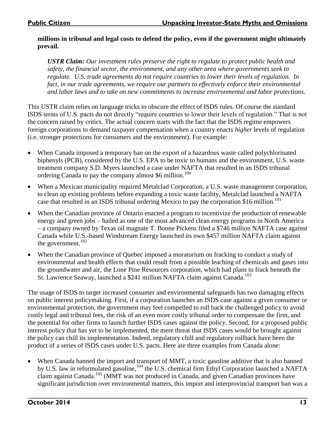#### **millions in tribunal and legal costs to defend the policy, even if the government might ultimately prevail.**

*USTR Claim: Our investment rules preserve the right to regulate to protect public health and safety, the financial sector, the environment, and any other area where governments seek to regulate. U.S. trade agreements do not require countries to lower their levels of regulation. In fact, in our trade agreements, we require our partners to effectively enforce their environmental and labor laws and to take on new commitments to increase environmental and labor protections.*

This USTR claim relies on language tricks to obscure the effect of ISDS rules. Of course the standard ISDS terms of U.S. pacts do not directly "require countries to lower their levels of regulation." That is not the concern raised by critics. The actual concern starts with the fact that the ISDS regime empowers foreign corporations to demand taxpayer compensation when a country enacts *higher* levels of regulation (i.e. stronger protections for consumers and the environment). For example:

- When Canada imposed a temporary ban on the export of a hazardous waste called polychlorinated biphenyls (PCB), considered by the U.S. EPA to be toxic to humans and the environment, U.S. waste treatment company S.D. Myers launched a case under NAFTA that resulted in an ISDS tribunal ordering Canada to pay the company almost \$6 million.<sup>100</sup>
- When a Mexican municipality required Metalclad Corporation, a U.S. waste management corporation, to clean up existing problems before expanding a toxic waste facility, Metalclad launched a NAFTA case that resulted in an ISDS tribunal ordering Mexico to pay the corporation \$16 million.<sup>101</sup>
- When the Canadian province of Ontario enacted a program to incentivize the production of renewable energy and green jobs – hailed as one of the most advanced clean energy programs in North America – a company owned by Texas oil magnate T. Boone Pickens filed a \$746 million NAFTA case against Canada while U.S.-based Windstream Energy launched its own \$457 million NAFTA claim against the government. $102$
- When the Canadian province of Quebec imposed a moratorium on fracking to conduct a study of environmental and health effects that could result from a possible leaching of chemicals and gases into the groundwater and air, the Lone Pine Resources corporation, which had plans to frack beneath the St. Lawrence Seaway, launched a \$241 million NAFTA claim against Canada.<sup>103</sup>

The usage of ISDS to target increased consumer and environmental safeguards has two damaging effects on public interest policymaking. First, if a corporation launches an ISDS case against a given consumer or environmental protection, the government may feel compelled to roll back the challenged policy to avoid costly legal and tribunal fees, the risk of an even more costly tribunal order to compensate the firm, and the potential for other firms to launch further ISDS cases against the policy. Second, for a proposed public interest policy that has yet to be implemented, the mere threat that ISDS cases would be brought against the policy can chill its implementation. Indeed, regulatory chill and regulatory rollback have been the product of a series of ISDS cases under U.S. pacts. Here are three examples from Canada alone:

 When Canada banned the import and transport of MMT, a toxic gasoline additive that is also banned by U.S. law in reformulated gasoline,<sup>104</sup> the U.S. chemical firm Ethyl Corporation launched a NAFTA claim against Canada.<sup>105</sup> (MMT was not produced in Canada, and given Canadian provinces have significant jurisdiction over environmental matters, this import and interprovincial transport ban was a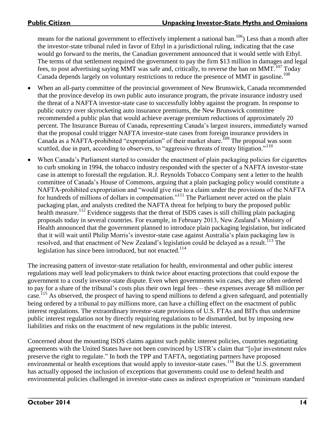means for the national government to effectively implement a national ban.<sup>106</sup>) Less than a month after the investor-state tribunal ruled in favor of Ethyl in a jurisdictional ruling, indicating that the case would go forward to the merits, the Canadian government announced that it would settle with Ethyl. The terms of that settlement required the government to pay the firm \$13 million in damages and legal fees, to post advertising saying MMT was safe and, critically, to reverse the ban on MMT.<sup>107</sup> Today Canada depends largely on voluntary restrictions to reduce the presence of MMT in gasoline.<sup>108</sup>

- When an all-party committee of the provincial government of New Brunswick, Canada recommended that the province develop its own public auto insurance program, the private insurance industry used the threat of a NAFTA investor-state case to successfully lobby against the program. In response to public outcry over skyrocketing auto insurance premiums, the New Brunswick committee recommended a public plan that would achieve average premium reductions of approximately 20 percent. The Insurance Bureau of Canada, representing Canada's largest insurers, immediately warned that the proposal could trigger NAFTA investor-state cases from foreign insurance providers in Canada as a NAFTA-prohibited "expropriation" of their market share.<sup>109</sup> The proposal was soon scuttled, due in part, according to observers, to "aggressive threats of treaty litigation."<sup>110</sup>
- When Canada's Parliament started to consider the enactment of plain packaging policies for cigarettes to curb smoking in 1994, the tobacco industry responded with the specter of a NAFTA investor-state case in attempt to forestall the regulation. R.J. Reynolds Tobacco Company sent a letter to the health committee of Canada's House of Commons, arguing that a plain packaging policy would constitute a NAFTA-prohibited expropriation and "would give rise to a claim under the provisions of the NAFTA for hundreds of millions of dollars in compensation."<sup>111</sup> The Parliament never acted on the plain packaging plan, and analysts credited the NAFTA threat for helping to bury the proposed public health measure.<sup>112</sup> Evidence suggests that the threat of ISDS cases is still chilling plain packaging proposals today in several countries. For example, in February 2013, New Zealand's Ministry of Health announced that the government planned to introduce plain packaging legislation, but indicated that it will wait until Philip Morris's investor-state case against Australia's plain packaging law is resolved, and that enactment of New Zealand's legislation could be delayed as a result.<sup>113</sup> The legislation has since been introduced, but not enacted. 114

The increasing pattern of investor-state retaliation for health, environmental and other public interest regulations may well lead policymakers to think twice about enacting protections that could expose the government to a costly investor-state dispute. Even when governments win cases, they are often ordered to pay for a share of the tribunal's costs plus their own legal fees – these expenses average \$8 million per case.<sup>115</sup> As observed, the prospect of having to spend millions to defend a given safeguard, and potentially being ordered by a tribunal to pay millions more, can have a chilling effect on the enactment of public interest regulations. The extraordinary investor-state provisions of U.S. FTAs and BITs thus undermine public interest regulation not by directly requiring regulations to be dismantled, but by imposing new liabilities and risks on the enactment of new regulations in the public interest.

Concerned about the mounting ISDS claims against such public interest policies, countries negotiating agreements with the United States have not been convinced by USTR's claim that "[o]ur investment rules preserve the right to regulate." In both the TPP and TAFTA, negotiating partners have proposed environmental or health exceptions that would apply to investor-state cases.<sup>116</sup> But the U.S. government has actually opposed the inclusion of exceptions that governments could use to defend health and environmental policies challenged in investor-state cases as indirect expropriation or "minimum standard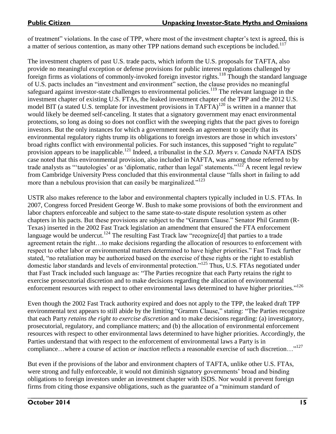of treatment" violations. In the case of TPP, where most of the investment chapter's text is agreed, this is a matter of serious contention, as many other TPP nations demand such exceptions be included.<sup>117</sup>

The investment chapters of past U.S. trade pacts, which inform the U.S. proposals for TAFTA, also provide no meaningful exception or defense provisions for public interest regulations challenged by foreign firms as violations of commonly-invoked foreign investor rights.<sup>118</sup> Though the standard language of U.S. pacts includes an "investment and environment" section, the clause provides no meaningful safeguard against investor-state challenges to environmental policies.<sup>119</sup> The relevant language in the investment chapter of existing U.S. FTAs, the leaked investment chapter of the TPP and the 2012 U.S. model BIT (a stated U.S. template for investment provisions in  $TAFTA$ )<sup>120</sup> is written in a manner that would likely be deemed self-canceling. It states that a signatory government may enact environmental protections, so long as doing so does not conflict with the sweeping rights that the pact gives to foreign investors. But the only instances for which a government needs an agreement to specify that its environmental regulatory rights trump its obligations to foreign investors are those in which investors' broad rights conflict with environmental policies. For such instances, this supposed "right to regulate" provision appears to be inapplicable.<sup>121</sup> Indeed, a tribunalist in the *S.D. Myers v. Canada* NAFTA ISDS case noted that this environmental provision, also included in NAFTA, was among those referred to by trade analysts as "'tautologies' or as 'diplomatic, rather than legal' statements."<sup>122</sup> A recent legal review from Cambridge University Press concluded that this environmental clause "falls short in failing to add more than a nebulous provision that can easily be marginalized."<sup>123</sup>

USTR also makes reference to the labor and environmental chapters typically included in U.S. FTAs. In 2007, Congress forced President George W. Bush to make some provisions of both the environment and labor chapters enforceable and subject to the same state-to-state dispute resolution system as other chapters in his pacts. But these provisions are subject to the "Gramm Clause." Senator Phil Gramm (R-Texas) inserted in the 2002 Fast Track legislation an amendment that ensured the FTA enforcement language would be undercut.<sup>124</sup> The resulting Fast Track law "recognize<sup>[d]</sup> that parties to a trade agreement retain the right…to make decisions regarding the allocation of resources to enforcement with respect to other labor or environmental matters determined to have higher priorities." Fast Track further stated, "no retaliation may be authorized based on the exercise of these rights or the right to establish domestic labor standards and levels of environmental protection."<sup>125</sup> Thus, U.S. FTAs negotiated under that Fast Track included such language as: "The Parties recognize that each Party retains the right to exercise prosecutorial discretion and to make decisions regarding the allocation of environmental enforcement resources with respect to other environmental laws determined to have higher priorities."<sup>126</sup>

Even though the 2002 Fast Track authority expired and does not apply to the TPP, the leaked draft TPP environmental text appears to still abide by the limiting "Gramm Clause," stating: "The Parties recognize that each Party *retains the right to exercise discretion* and to make decisions regarding: (a) investigatory, prosecutorial, regulatory, and compliance matters; and (b) the allocation of environmental enforcement resources with respect to other environmental laws determined to have higher priorities. Accordingly, the Parties understand that with respect to the enforcement of environmental laws a Party is in compliance…where a course of action *or inaction* reflects a reasonable exercise of such discretion…" 127

But even if the provisions of the labor and environment chapters of TAFTA, unlike other U.S. FTAs, were strong and fully enforceable, it would not diminish signatory governments' broad and binding obligations to foreign investors under an investment chapter with ISDS. Nor would it prevent foreign firms from citing those expansive obligations, such as the guarantee of a "minimum standard of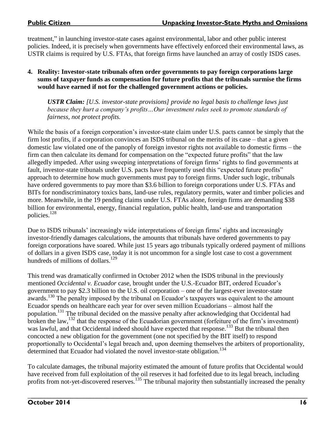treatment," in launching investor-state cases against environmental, labor and other public interest policies. Indeed, it is precisely when governments have effectively enforced their environmental laws, as USTR claims is required by U.S. FTAs, that foreign firms have launched an array of costly ISDS cases.

#### **4. Reality: Investor-state tribunals often order governments to pay foreign corporations large sums of taxpayer funds as compensation for future profits that the tribunals surmise the firms would have earned if not for the challenged government actions or policies.**

*USTR Claim: [U.S. investor-state provisions] provide no legal basis to challenge laws just because they hurt a company's profits…Our investment rules seek to promote standards of fairness, not protect profits.*

While the basis of a foreign corporation's investor-state claim under U.S. pacts cannot be simply that the firm lost profits, if a corporation convinces an ISDS tribunal on the merits of its case – that a given domestic law violated one of the panoply of foreign investor rights not available to domestic firms – the firm can then calculate its demand for compensation on the "expected future profits" that the law allegedly impeded. After using sweeping interpretations of foreign firms' rights to find governments at fault, investor-state tribunals under U.S. pacts have frequently used this "expected future profits" approach to determine how much governments must pay to foreign firms. Under such logic, tribunals have ordered governments to pay more than \$3.6 billion to foreign corporations under U.S. FTAs and BITs for nondiscriminatory toxics bans, land-use rules, regulatory permits, water and timber policies and more. Meanwhile, in the 19 pending claims under U.S. FTAs alone, foreign firms are demanding \$38 billion for environmental, energy, financial regulation, public health, land-use and transportation policies.<sup>128</sup>

Due to ISDS tribunals' increasingly wide interpretations of foreign firms' rights and increasingly investor-friendly damages calculations, the amounts that tribunals have ordered governments to pay foreign corporations have soared. While just 15 years ago tribunals typically ordered payment of millions of dollars in a given ISDS case, today it is not uncommon for a single lost case to cost a government hundreds of millions of dollars.<sup>129</sup>

This trend was dramatically confirmed in October 2012 when the ISDS tribunal in the previously mentioned *Occidental v. Ecuador* case, brought under the U.S.-Ecuador BIT, ordered Ecuador's government to pay \$2.3 billion to the U.S. oil corporation – one of the largest-ever investor-state awards.<sup>130</sup> The penalty imposed by the tribunal on Ecuador's taxpayers was equivalent to the amount Ecuador spends on healthcare each year for over seven million Ecuadorians – almost half the population.<sup>131</sup> The tribunal decided on the massive penalty after acknowledging that Occidental had broken the law,  $^{132}$  that the response of the Ecuadorian government (forfeiture of the firm's investment) was lawful, and that Occidental indeed should have expected that response.<sup>133</sup> But the tribunal then concocted a new obligation for the government (one not specified by the BIT itself) to respond proportionally to Occidental's legal breach and, upon deeming themselves the arbiters of proportionality, determined that Ecuador had violated the novel investor-state obligation.<sup>134</sup>

To calculate damages, the tribunal majority estimated the amount of future profits that Occidental would have received from full exploitation of the oil reserves it had forfeited due to its legal breach, including profits from not-yet-discovered reserves.<sup>135</sup> The tribunal majority then substantially increased the penalty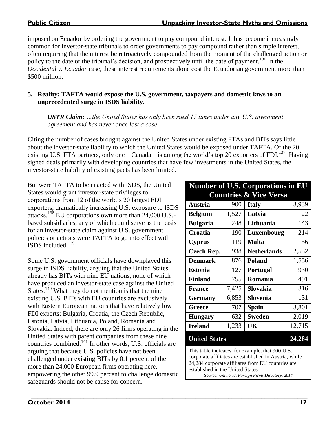imposed on Ecuador by ordering the government to pay compound interest. It has become increasingly common for investor-state tribunals to order governments to pay compound rather than simple interest, often requiring that the interest be retroactively compounded from the moment of the challenged action or policy to the date of the tribunal's decision, and prospectively until the date of payment.<sup>136</sup> In the *Occidental v. Ecuador* case, these interest requirements alone cost the Ecuadorian government more than \$500 million.

### **5. Reality: TAFTA would expose the U.S. government, taxpayers and domestic laws to an unprecedented surge in ISDS liability.**

*USTR Claim: …the United States has only been sued 17 times under any U.S. investment agreement and has never once lost a case.* 

Citing the number of cases brought against the United States under existing FTAs and BITs says little about the investor-state liability to which the United States would be exposed under TAFTA. Of the 20 existing U.S. FTA partners, only one  $-$  Canada  $-$  is among the world's top 20 exporters of FDI.<sup>137</sup> Having signed deals primarily with developing countries that have few investments in the United States, the investor-state liability of existing pacts has been limited.

But were TAFTA to be enacted with ISDS, the United States would grant investor-state privileges to corporations from 12 of the world's 20 largest FDI exporters, dramatically increasing U.S. exposure to ISDS attacks.<sup>138</sup> EU corporations own more than 24,000 U.S. based subsidiaries, any of which could serve as the basis for an investor-state claim against U.S. government policies or actions were TAFTA to go into effect with ISDS included.<sup>139</sup>

Some U.S. government officials have downplayed this surge in ISDS liability, arguing that the United States already has BITs with nine EU nations, none of which have produced an investor-state case against the United States.<sup>140</sup> What they do not mention is that the nine existing U.S. BITs with EU countries are exclusively with Eastern European nations that have relatively low FDI exports: Bulgaria, Croatia, the Czech Republic, Estonia, Latvia, Lithuania, Poland, Romania and Slovakia. Indeed, there are only 26 firms operating in the United States with parent companies from these nine countries combined.<sup>141</sup> In other words, U.S. officials are arguing that because U.S. policies have not been challenged under existing BITs by 0.1 percent of the more than 24,000 European firms operating here, empowering the other 99.9 percent to challenge domestic safeguards should not be cause for concern.

#### **Number of U.S. Corporations in EU Countries & Vice Versa**

| <b>Austria</b>                                                                                                                                                                                                                                                                          | 900   | <b>Italy</b>       | 3,939  |
|-----------------------------------------------------------------------------------------------------------------------------------------------------------------------------------------------------------------------------------------------------------------------------------------|-------|--------------------|--------|
| <b>Belgium</b>                                                                                                                                                                                                                                                                          | 1,527 | Latvia             | 122    |
| <b>Bulgaria</b>                                                                                                                                                                                                                                                                         | 248   | Lithuania          | 143    |
| Croatia                                                                                                                                                                                                                                                                                 | 190   | Luxembourg         | 214    |
| <b>Cyprus</b>                                                                                                                                                                                                                                                                           | 119   | <b>Malta</b>       | 56     |
| <b>Czech Rep.</b>                                                                                                                                                                                                                                                                       | 938   | <b>Netherlands</b> | 2,532  |
| <b>Denmark</b>                                                                                                                                                                                                                                                                          | 876   | <b>Poland</b>      | 1,556  |
| <b>Estonia</b>                                                                                                                                                                                                                                                                          | 127   | Portugal           | 930    |
| <b>Finland</b>                                                                                                                                                                                                                                                                          | 755   | Romania            | 491    |
| <b>France</b>                                                                                                                                                                                                                                                                           | 7,425 | Slovakia           | 316    |
| <b>Germany</b>                                                                                                                                                                                                                                                                          | 6,853 | Slovenia           | 131    |
| Greece                                                                                                                                                                                                                                                                                  | 707   | Spain              | 3,801  |
| <b>Hungary</b>                                                                                                                                                                                                                                                                          | 632   | <b>Sweden</b>      | 2,019  |
| <b>Ireland</b>                                                                                                                                                                                                                                                                          | 1,233 | UK                 | 12,715 |
| <b>United States</b>                                                                                                                                                                                                                                                                    |       |                    | 24,284 |
| This table indicates, for example, that 900 U.S.<br>$\sim$ CCM to a second constant of the field $\Lambda$ and a second constant of the constant of the constant of the constant of the constant of the constant of the constant of the constant of the constant of the constant of the |       |                    |        |

corporate affiliates are established in Austria, while 24,284 corporate affiliates from EU countries are established in the United States. *Source: Uniworld, Foreign Firms Directory, 2014*

\_**\_\_\_\_\_\_\_\_\_\_\_\_\_\_\_\_\_\_\_\_\_\_\_\_\_\_\_\_\_\_\_\_\_\_\_\_\_\_\_\_\_\_\_\_\_\_\_\_\_\_\_\_\_\_\_\_\_\_\_\_\_\_\_\_\_\_\_\_\_\_\_\_\_\_\_\_\_\_\_\_\_\_\_\_ October 2014** 17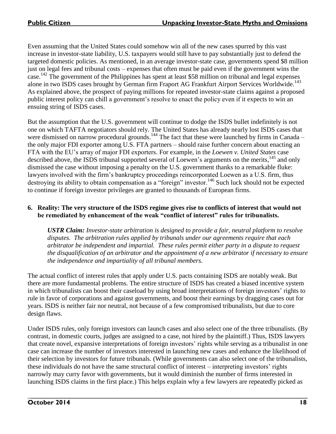Even assuming that the United States could somehow win all of the new cases spurred by this vast increase in investor-state liability, U.S. taxpayers would still have to pay substantially just to defend the targeted domestic policies. As mentioned, in an average investor-state case, governments spend \$8 million just on legal fees and tribunal costs – expenses that often must be paid even if the government wins the case.<sup>142</sup> The government of the Philippines has spent at least \$58 million on tribunal and legal expenses alone in two ISDS cases brought by German firm Fraport AG Frankfurt Airport Services Worldwide.<sup>143</sup> As explained above, the prospect of paying millions for repeated investor-state claims against a proposed public interest policy can chill a government's resolve to enact the policy even if it expects to win an ensuing string of ISDS cases.

But the assumption that the U.S. government will continue to dodge the ISDS bullet indefinitely is not one on which TAFTA negotiators should rely. The United States has already nearly lost ISDS cases that were dismissed on narrow procedural grounds.<sup>144</sup> The fact that these were launched by firms in Canada – the only major FDI exporter among U.S. FTA partners – should raise further concern about enacting an FTA with the EU's array of major FDI exporters. For example, in the *Loewen v. United States* case described above, the ISDS tribunal supported several of Loewen's arguments on the merits,<sup>145</sup> and only dismissed the case without imposing a penalty on the U.S. government thanks to a remarkable fluke: lawyers involved with the firm's bankruptcy proceedings reincorporated Loewen as a U.S. firm, thus destroying its ability to obtain compensation as a "foreign" investor.<sup>146</sup> Such luck should not be expected to continue if foreign investor privileges are granted to thousands of European firms.

#### **6. Reality: The very structure of the ISDS regime gives rise to conflicts of interest that would not be remediated by enhancement of the weak "conflict of interest" rules for tribunalists.**

*USTR Claim: Investor-state arbitration is designed to provide a fair, neutral platform to resolve disputes. The arbitration rules applied by tribunals under our agreements require that each arbitrator be independent and impartial. These rules permit either party in a dispute to request the disqualification of an arbitrator and the appointment of a new arbitrator if necessary to ensure the independence and impartiality of all tribunal members.* 

The actual conflict of interest rules that apply under U.S. pacts containing ISDS are notably weak. But there are more fundamental problems. The entire structure of ISDS has created a biased incentive system in which tribunalists can boost their caseload by using broad interpretations of foreign investors' rights to rule in favor of corporations and against governments, and boost their earnings by dragging cases out for years. ISDS is neither fair nor neutral, not because of a few compromised tribunalists, but due to core design flaws.

Under ISDS rules, only foreign investors can launch cases and also select one of the three tribunalists. (By contrast, in domestic courts, judges are assigned to a case, not hired by the plaintiff.) Thus, ISDS lawyers that create novel, expansive interpretations of foreign investors' rights while serving as a tribunalist in one case can increase the number of investors interested in launching new cases and enhance the likelihood of their selection by investors for future tribunals. (While governments can also select one of the tribunalists, these individuals do not have the same structural conflict of interest – interpreting investors' rights narrowly may curry favor with governments, but it would diminish the number of firms interested in launching ISDS claims in the first place.) This helps explain why a few lawyers are repeatedly picked as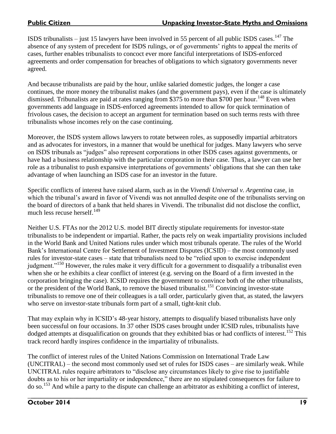ISDS tribunalists  $-$  just 15 lawyers have been involved in 55 percent of all public ISDS cases.  $^{147}$  The absence of any system of precedent for ISDS rulings, or of governments' rights to appeal the merits of cases, further enables tribunalists to concoct ever more fanciful interpretations of ISDS-enforced agreements and order compensation for breaches of obligations to which signatory governments never agreed.

And because tribunalists are paid by the hour, unlike salaried domestic judges, the longer a case continues, the more money the tribunalist makes (and the government pays), even if the case is ultimately dismissed. Tribunalists are paid at rates ranging from \$375 to more than \$700 per hour.<sup>148</sup> Even when governments add language in ISDS-enforced agreements intended to allow for quick termination of frivolous cases, the decision to accept an argument for termination based on such terms rests with three tribunalists whose incomes rely on the case continuing.

Moreover, the ISDS system allows lawyers to rotate between roles, as supposedly impartial arbitrators and as advocates for investors, in a manner that would be unethical for judges. Many lawyers who serve on ISDS tribunals as "judges" also represent corporations in other ISDS cases against governments, or have had a business relationship with the particular corporation in their case. Thus, a lawyer can use her role as a tribunalist to push expansive interpretations of governments' obligations that she can then take advantage of when launching an ISDS case for an investor in the future.

Specific conflicts of interest have raised alarm, such as in the *Vivendi Universal v. Argentina* case, in which the tribunal's award in favor of Vivendi was not annulled despite one of the tribunalists serving on the board of directors of a bank that held shares in Vivendi. The tribunalist did not disclose the conflict, much less recuse herself.<sup>149</sup>

Neither U.S. FTAs nor the 2012 U.S. model BIT directly stipulate requirements for investor-state tribunalists to be independent or impartial. Rather, the pacts rely on weak impartiality provisions included in the World Bank and United Nations rules under which most tribunals operate. The rules of the World Bank's International Centre for Settlement of Investment Disputes (ICSID) – the most commonly used rules for investor-state cases – state that tribunalists need to be "relied upon to exercise independent judgment."<sup>150</sup> However, the rules make it very difficult for a government to disqualify a tribunalist even when she or he exhibits a clear conflict of interest (e.g. serving on the Board of a firm invested in the corporation bringing the case). ICSID requires the government to convince both of the other tribunalists, or the president of the World Bank, to remove the biased tribunalist.<sup>151</sup> Convincing investor-state tribunalists to remove one of their colleagues is a tall order, particularly given that, as stated, the lawyers who serve on investor-state tribunals form part of a small, tight-knit club.

That may explain why in ICSID's 48-year history, attempts to disqualify biased tribunalists have only been successful on four occasions. In 37 other ISDS cases brought under ICSID rules, tribunalists have dodged attempts at disqualification on grounds that they exhibited bias or had conflicts of interest.<sup>152</sup> This track record hardly inspires confidence in the impartiality of tribunalists.

The conflict of interest rules of the United Nations Commission on International Trade Law (UNCITRAL) – the second most commonly used set of rules for ISDS cases – are similarly weak. While UNCITRAL rules require arbitrators to "disclose any circumstances likely to give rise to justifiable doubts as to his or her impartiality or independence," there are no stipulated consequences for failure to do so.<sup>153</sup> And while a party to the dispute can challenge an arbitrator as exhibiting a conflict of interest,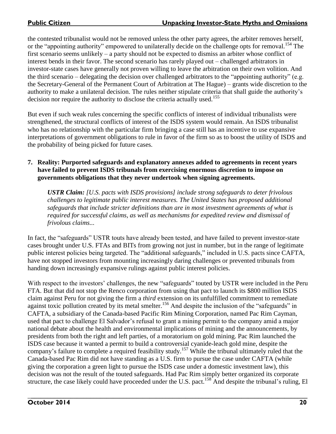the contested tribunalist would not be removed unless the other party agrees, the arbiter removes herself, or the "appointing authority" empowered to unilaterally decide on the challenge opts for removal.<sup>154</sup> The first scenario seems unlikely – a party should not be expected to dismiss an arbiter whose conflict of interest bends in their favor. The second scenario has rarely played out – challenged arbitrators in investor-state cases have generally not proven willing to leave the arbitration on their own volition. And the third scenario – delegating the decision over challenged arbitrators to the "appointing authority" (e.g. the Secretary-General of the Permanent Court of Arbitration at The Hague) – grants wide discretion to the authority to make a unilateral decision. The rules neither stipulate criteria that shall guide the authority's decision nor require the authority to disclose the criteria actually used.<sup>155</sup>

But even if such weak rules concerning the specific conflicts of interest of individual tribunalists were strengthened, the structural conflicts of interest of the ISDS system would remain. An ISDS tribunalist who has no relationship with the particular firm bringing a case still has an incentive to use expansive interpretations of government obligations to rule in favor of the firm so as to boost the utility of ISDS and the probability of being picked for future cases.

#### **7. Reality: Purported safeguards and explanatory annexes added to agreements in recent years have failed to prevent ISDS tribunals from exercising enormous discretion to impose on governments obligations that they never undertook when signing agreements.**

*USTR Claim: [U.S. pacts with ISDS provisions] include strong safeguards to deter frivolous challenges to legitimate public interest measures. The United States has proposed additional safeguards that include stricter definitions than are in most investment agreements of what is required for successful claims, as well as mechanisms for expedited review and dismissal of frivolous claims...*

In fact, the "safeguards" USTR touts have already been tested, and have failed to prevent investor-state cases brought under U.S. FTAs and BITs from growing not just in number, but in the range of legitimate public interest policies being targeted. The "additional safeguards," included in U.S. pacts since CAFTA, have not stopped investors from mounting increasingly daring challenges or prevented tribunals from handing down increasingly expansive rulings against public interest policies.

With respect to the investors' challenges, the new "safeguards" touted by USTR were included in the Peru FTA. But that did not stop the Renco corporation from using that pact to launch its \$800 million ISDS claim against Peru for not giving the firm a *third* extension on its unfulfilled commitment to remediate against toxic pollution created by its metal smelter.<sup>156</sup> And despite the inclusion of the "safeguards" in CAFTA, a subsidiary of the Canada-based Pacific Rim Mining Corporation, named Pac Rim Cayman, used that pact to challenge El Salvador's refusal to grant a mining permit to the company amid a major national debate about the health and environmental implications of mining and the announcements, by presidents from both the right and left parties, of a moratorium on gold mining. Pac Rim launched the ISDS case because it wanted a permit to build a controversial cyanide-leach gold mine, despite the company's failure to complete a required feasibility study.<sup>157</sup> While the tribunal ultimately ruled that the Canada-based Pac Rim did not have standing as a U.S. firm to pursue the case under CAFTA (while giving the corporation a green light to pursue the ISDS case under a domestic investment law), this decision was not the result of the touted safeguards. Had Pac Rim simply better organized its corporate structure, the case likely could have proceeded under the U.S. pact.<sup>158</sup> And despite the tribunal's ruling, El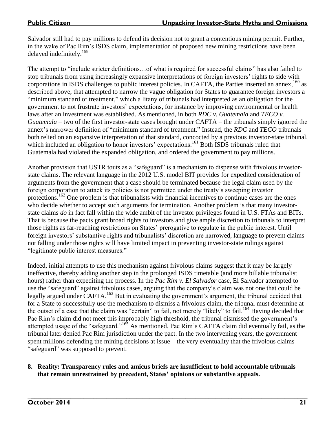Salvador still had to pay millions to defend its decision not to grant a contentious mining permit. Further, in the wake of Pac Rim's ISDS claim, implementation of proposed new mining restrictions have been delayed indefinitely. 159

The attempt to "include stricter definitions…of what is required for successful claims" has also failed to stop tribunals from using increasingly expansive interpretations of foreign investors' rights to side with corporations in ISDS challenges to public interest policies. In CAFTA, the Parties inserted an annex, <sup>160</sup> as described above, that attempted to narrow the vague obligation for States to guarantee foreign investors a "minimum standard of treatment," which a litany of tribunals had interpreted as an obligation for the government to not frustrate investors' expectations, for instance by improving environmental or health laws after an investment was established. As mentioned, in both *RDC v. Guatemala* and *TECO v. Guatemala* – two of the first investor-state cases brought under CAFTA – the tribunals simply ignored the annex's narrower definition of "minimum standard of treatment." Instead, the *RDC* and *TECO* tribunals both relied on an expansive interpretation of that standard, concocted by a previous investor-state tribunal, which included an obligation to honor investors' expectations.<sup>161</sup> Both ISDS tribunals ruled that Guatemala had violated the expanded obligation, and ordered the government to pay millions.

Another provision that USTR touts as a "safeguard" is a mechanism to dispense with frivolous investorstate claims. The relevant language in the 2012 U.S. model BIT provides for expedited consideration of arguments from the government that a case should be terminated because the legal claim used by the foreign corporation to attack its policies is not permitted under the treaty's sweeping investor protections.<sup>162</sup> One problem is that tribunalists with financial incentives to continue cases are the ones who decide whether to accept such arguments for termination. Another problem is that many investorstate claims *do* in fact fall within the wide ambit of the investor privileges found in U.S. FTAs and BITs. That is because the pacts grant broad rights to investors and give ample discretion to tribunals to interpret those rights as far-reaching restrictions on States' prerogative to regulate in the public interest. Until foreign investors' substantive rights and tribunalists' discretion are narrowed, language to prevent claims not falling under those rights will have limited impact in preventing investor-state rulings against "legitimate public interest measures."

Indeed, initial attempts to use this mechanism against frivolous claims suggest that it may be largely ineffective, thereby adding another step in the prolonged ISDS timetable (and more billable tribunalist hours) rather than expediting the process. In the *Pac Rim v. El Salvador* case, El Salvador attempted to use the "safeguard" against frivolous cases, arguing that the company's claim was not one that could be legally argued under CAFTA.<sup>163</sup> But in evaluating the government's argument, the tribunal decided that for a State to successfully use the mechanism to dismiss a frivolous claim, the tribunal must determine at the outset of a case that the claim was "certain" to fail, not merely "likely" to fail.<sup>164</sup> Having decided that Pac Rim's claim did not meet this improbably high threshold, the tribunal dismissed the government's attempted usage of the "safeguard."<sup>165</sup> As mentioned, Pac Rim's CAFTA claim did eventually fail, as the tribunal later denied Pac Rim jurisdiction under the pact. In the two intervening years, the government spent millions defending the mining decisions at issue – the very eventuality that the frivolous claims "safeguard" was supposed to prevent.

## **8. Reality: Transparency rules and amicus briefs are insufficient to hold accountable tribunals that remain unrestrained by precedent, States' opinions or substantive appeals.**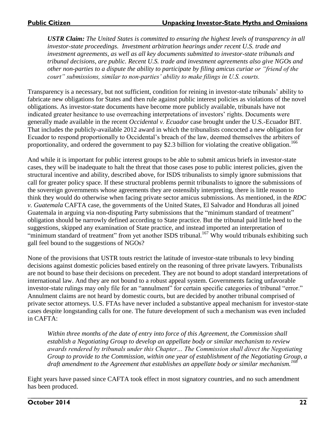*USTR Claim: The United States is committed to ensuring the highest levels of transparency in all investor-state proceedings. Investment arbitration hearings under recent U.S. trade and investment agreements, as well as all key documents submitted to investor-state tribunals and tribunal decisions, are public. Recent U.S. trade and investment agreements also give NGOs and other non-parties to a dispute the ability to participate by filing amicus curiae or "friend of the court" submissions, similar to non-parties' ability to make filings in U.S. courts.* 

Transparency is a necessary, but not sufficient, condition for reining in investor-state tribunals' ability to fabricate new obligations for States and then rule against public interest policies as violations of the novel obligations. As investor-state documents have become more publicly available, tribunals have not indicated greater hesitance to use overreaching interpretations of investors' rights. Documents were generally made available in the recent *Occidental v. Ecuador* case brought under the U.S.-Ecuador BIT. That includes the publicly-available 2012 award in which the tribunalists concocted a new obligation for Ecuador to respond proportionally to Occidental's breach of the law, deemed themselves the arbiters of proportionality, and ordered the government to pay \$2.3 billion for violating the creative obligation.<sup>166</sup>

And while it is important for public interest groups to be able to submit amicus briefs in investor-state cases, they will be inadequate to halt the threat that those cases pose to public interest policies, given the structural incentive and ability, described above, for ISDS tribunalists to simply ignore submissions that call for greater policy space. If these structural problems permit tribunalists to ignore the submissions of the sovereign governments whose agreements they are ostensibly interpreting, there is little reason to think they would do otherwise when facing private sector amicus submissions. As mentioned, in the *RDC v. Guatemala* CAFTA case, the governments of the United States, El Salvador and Honduras all joined Guatemala in arguing via non-disputing Party submissions that the "minimum standard of treatment" obligation should be narrowly defined according to State practice. But the tribunal paid little heed to the suggestions, skipped any examination of State practice, and instead imported an interpretation of "minimum standard of treatment" from yet another ISDS tribunal.<sup>167</sup> Why would tribunals exhibiting such gall feel bound to the suggestions of NGOs?

None of the provisions that USTR touts restrict the latitude of investor-state tribunals to levy binding decisions against domestic policies based entirely on the reasoning of three private lawyers. Tribunalists are not bound to base their decisions on precedent. They are not bound to adopt standard interpretations of international law. And they are not bound to a robust appeal system. Governments facing unfavorable investor-state rulings may only file for an "annulment" for certain specific categories of tribunal "error." Annulment claims are not heard by domestic courts, but are decided by another tribunal comprised of private sector attorneys. U.S. FTAs have never included a substantive appeal mechanism for investor-state cases despite longstanding calls for one. The future development of such a mechanism was even included in CAFTA:

*Within three months of the date of entry into force of this Agreement, the Commission shall establish a Negotiating Group to develop an appellate body or similar mechanism to review awards rendered by tribunals under this Chapter… The Commission shall direct the Negotiating Group to provide to the Commission, within one year of establishment of the Negotiating Group, a draft amendment to the Agreement that establishes an appellate body or similar mechanism.<sup>168</sup>*

Eight years have passed since CAFTA took effect in most signatory countries, and no such amendment has been produced.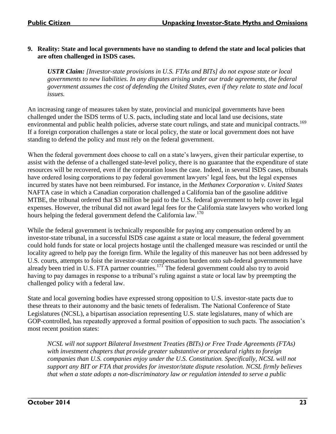## **9. Reality: State and local governments have no standing to defend the state and local policies that are often challenged in ISDS cases.**

*USTR Claim: [Investor-state provisions in U.S. FTAs and BITs] do not expose state or local governments to new liabilities. In any disputes arising under our trade agreements, the federal government assumes the cost of defending the United States, even if they relate to state and local issues.*

An increasing range of measures taken by state, provincial and municipal governments have been challenged under the ISDS terms of U.S. pacts, including state and local land use decisions, state environmental and public health policies, adverse state court rulings, and state and municipal contracts.<sup>169</sup> If a foreign corporation challenges a state or local policy, the state or local government does not have standing to defend the policy and must rely on the federal government.

When the federal government does choose to call on a state's lawyers, given their particular expertise, to assist with the defense of a challenged state-level policy, there is no guarantee that the expenditure of state resources will be recovered, even if the corporation loses the case. Indeed, in several ISDS cases, tribunals have ordered losing corporations to pay federal government lawyers' legal fees, but the legal expenses incurred by states have not been reimbursed. For instance, in the *Methanex Corporation v. United States* NAFTA case in which a Canadian corporation challenged a California ban of the gasoline additive MTBE, the tribunal ordered that \$3 million be paid to the U.S. federal government to help cover its legal expenses. However, the tribunal did not award legal fees for the California state lawyers who worked long hours helping the federal government defend the California law.<sup>170</sup>

While the federal government is technically responsible for paying any compensation ordered by an investor-state tribunal, in a successful ISDS case against a state or local measure, the federal government could hold funds for state or local projects hostage until the challenged measure was rescinded or until the locality agreed to help pay the foreign firm. While the legality of this maneuver has not been addressed by U.S. courts, attempts to foist the investor-state compensation burden onto sub-federal governments have already been tried in U.S. FTA partner countries.<sup>171</sup> The federal government could also try to avoid having to pay damages in response to a tribunal's ruling against a state or local law by preempting the challenged policy with a federal law.

State and local governing bodies have expressed strong opposition to U.S. investor-state pacts due to these threats to their autonomy and the basic tenets of federalism. The National Conference of State Legislatures (NCSL), a bipartisan association representing U.S. state legislatures, many of which are GOP-controlled, has repeatedly approved a formal position of opposition to such pacts. The association's most recent position states:

*NCSL will not support Bilateral Investment Treaties (BITs) or Free Trade Agreements (FTAs) with investment chapters that provide greater substantive or procedural rights to foreign companies than U.S. companies enjoy under the U.S. Constitution. Specifically, NCSL will not support any BIT or FTA that provides for investor/state dispute resolution. NCSL firmly believes that when a state adopts a non-discriminatory law or regulation intended to serve a public*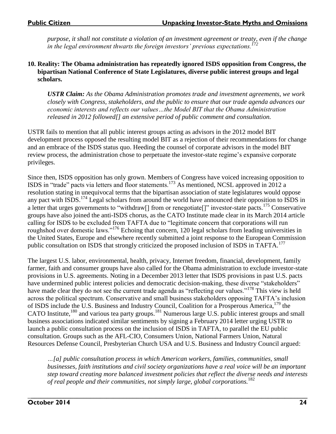*purpose, it shall not constitute a violation of an investment agreement or treaty, even if the change in the legal environment thwarts the foreign investors' previous expectations.<sup>172</sup>*

#### **10. Reality: The Obama administration has repeatedly ignored ISDS opposition from Congress, the bipartisan National Conference of State Legislatures, diverse public interest groups and legal scholars.**

*USTR Claim: As the Obama Administration promotes trade and investment agreements, we work closely with Congress, stakeholders, and the public to ensure that our trade agenda advances our economic interests and reflects our values…the Model BIT that the Obama Administration released in 2012 followed[] an extensive period of public comment and consultation.*

USTR fails to mention that all public interest groups acting as advisors in the 2012 model BIT development process opposed the resulting model BIT as a rejection of their recommendations for change and an embrace of the ISDS status quo. Heeding the counsel of corporate advisors in the model BIT review process, the administration chose to perpetuate the investor-state regime's expansive corporate privileges.

Since then, ISDS opposition has only grown. Members of Congress have voiced increasing opposition to ISDS in "trade" pacts via letters and floor statements.<sup>173</sup> As mentioned, NCSL approved in 2012 a resolution stating in unequivocal terms that the bipartisan association of state legislatures would oppose any pact with ISDS.<sup>174</sup> Legal scholars from around the world have announced their opposition to ISDS in a letter that urges governments to "withdraw<sup>[]</sup> from or renegotiate<sup>[]"</sup> investor-state pacts.<sup>175</sup> Conservative groups have also joined the anti-ISDS chorus, as the CATO Institute made clear in its March 2014 article calling for ISDS to be excluded from TAFTA due to "legitimate concern that corporations will run roughshod over domestic laws."<sup>176</sup> Echoing that concern, 120 legal scholars from leading universities in the United States, Europe and elsewhere recently submitted a joint response to the European Commission public consultation on ISDS that strongly criticized the proposed inclusion of ISDS in TAFTA.<sup>177</sup>

The largest U.S. labor, environmental, health, privacy, Internet freedom, financial, development, family farmer, faith and consumer groups have also called for the Obama administration to exclude investor-state provisions in U.S. agreements. Noting in a December 2013 letter that ISDS provisions in past U.S. pacts have undermined public interest policies and democratic decision-making, these diverse "stakeholders" have made clear they do not see the current trade agenda as "reflecting our values."<sup>178</sup> This view is held across the political spectrum. Conservative and small business stakeholders opposing TAFTA's inclusion of ISDS include the U.S. Business and Industry Council, Coalition for a Prosperous America,<sup>179</sup> the CATO Institute,<sup>180</sup> and various tea party groups.<sup>181</sup> Numerous large U.S. public interest groups and small business associations indicated similar sentiments by signing a February 2014 letter urging USTR to launch a public consultation process on the inclusion of ISDS in TAFTA, to parallel the EU public consultation. Groups such as the AFL-CIO, Consumers Union, National Farmers Union, Natural Resources Defense Council, Presbyterian Church USA and U.S. Business and Industry Council argued:

*…[a] public consultation process in which American workers, families, communities, small businesses, faith institutions and civil society organizations have a real voice will be an important step toward creating more balanced investment policies that reflect the diverse needs and interests of real people and their communities, not simply large, global corporations.*<sup>182</sup>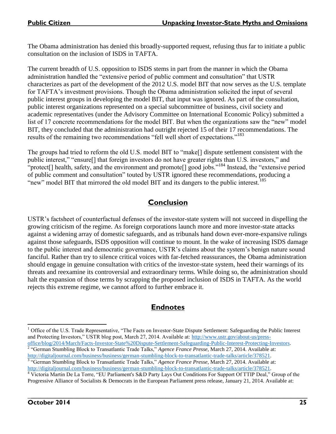The Obama administration has denied this broadly-supported request, refusing thus far to initiate a public consultation on the inclusion of ISDS in TAFTA.

The current breadth of U.S. opposition to ISDS stems in part from the manner in which the Obama administration handled the "extensive period of public comment and consultation" that USTR characterizes as part of the development of the 2012 U.S. model BIT that now serves as the U.S. template for TAFTA's investment provisions. Though the Obama administration solicited the input of several public interest groups in developing the model BIT, that input was ignored. As part of the consultation, public interest organizations represented on a special subcommittee of business, civil society and academic representatives (under the Advisory Committee on International Economic Policy) submitted a list of 17 concrete recommendations for the model BIT. But when the organizations saw the "new" model BIT, they concluded that the administration had outright rejected 15 of their 17 recommendations. The results of the remaining two recommendations "fell well short of expectations."<sup>183</sup>

The groups had tried to reform the old U.S. model BIT to "make[] dispute settlement consistent with the public interest," "ensure[] that foreign investors do not have greater rights than U.S. investors," and "protect<sup>[]</sup> health, safety, and the environment and promote<sup>[]</sup> good jobs."<sup>184</sup> Instead, the "extensive period" of public comment and consultation" touted by USTR ignored these recommendations, producing a "new" model BIT that mirrored the old model BIT and its dangers to the public interest.<sup>185</sup>

# **Conclusion**

USTR's factsheet of counterfactual defenses of the investor-state system will not succeed in dispelling the growing criticism of the regime. As foreign corporations launch more and more investor-state attacks against a widening array of domestic safeguards, and as tribunals hand down ever-more-expansive rulings against those safeguards, ISDS opposition will continue to mount. In the wake of increasing ISDS damage to the public interest and democratic governance, USTR's claims about the system's benign nature sound fanciful. Rather than try to silence critical voices with far-fetched reassurances, the Obama administration should engage in genuine consultation with critics of the investor-state system, heed their warnings of its threats and reexamine its controversial and extraordinary terms. While doing so, the administration should halt the expansion of those terms by scrapping the proposed inclusion of ISDS in TAFTA. As the world rejects this extreme regime, we cannot afford to further embrace it.

# **Endnotes**

 $\overline{a}$  $<sup>1</sup>$  Office of the U.S. Trade Representative, "The Facts on Investor-State Dispute Settlement: Safeguarding the Public Interest</sup> and Protecting Investors," USTR blog post, March 27, 2014. Available at: [http://www.ustr.gov/about-us/press](http://www.ustr.gov/about-us/press-office/blog/2014/March/Facts-Investor-State%20Dispute-Settlement-Safeguarding-Public-Interest-Protecting-Investors)[office/blog/2014/March/Facts-Investor-State%20Dispute-Settlement-Safeguarding-Public-Interest-Protecting-Investors.](http://www.ustr.gov/about-us/press-office/blog/2014/March/Facts-Investor-State%20Dispute-Settlement-Safeguarding-Public-Interest-Protecting-Investors)

<sup>&</sup>lt;sup>2</sup> "German Stumbling Block to Transatlantic Trade Talks," Agence France Presse, March 27, 2014. Available at: http://digitaljournal.com/business/business/german-stumbling-block-to-transatlantic-trade-talks/article/378521<br><sup>3</sup> "German Stumbling Block to Transatlantic Trade Talks," *Agence France Presse*, March 27, 2014. Available at

[http://digitaljournal.com/business/business/german-stumbling-block-to-transatlantic-trade-talks/article/378521.](http://digitaljournal.com/business/business/german-stumbling-block-to-transatlantic-trade-talks/article/378521)

<sup>4</sup> Victoria Martin De La Torre, "EU Parliament's S&D Party Lays Out Conditions For Support Of TTIP Deal," Group of the Progressive Alliance of Socialists & Democrats in the European Parliament press release, January 21, 2014. Available at: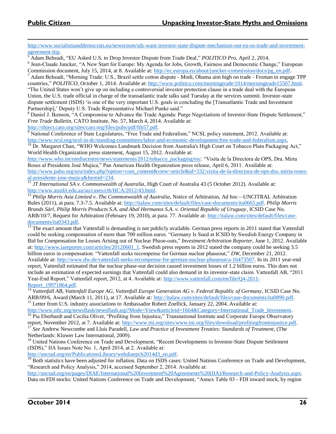[http://www.socialistsanddemocrats.eu/newsroom/sds-want-investor-state-dispute-mechanism-out-eu-us-trade-and-investment](http://www.socialistsanddemocrats.eu/newsroom/sds-want-investor-state-dispute-mechanism-out-eu-us-trade-and-investment-agreement-ttip)[agreement-ttip.](http://www.socialistsanddemocrats.eu/newsroom/sds-want-investor-state-dispute-mechanism-out-eu-us-trade-and-investment-agreement-ttip)

<sup>5</sup> Adam Behsudi, "EU Asked U.S. to Drop Investor Dispute from Trade Deal," *POLITICO Pro*, April 2, 2014.

<sup>6</sup> Jean-Claude Juncker, "A New Start for Europe: My Agenda for Jobs, Growth, Fairness and Democratic Change," European Commission document, July 15, 2014, at 8. Available at: [http://ec.europa.eu/about/juncker-commission/docs/pg\\_en.pdf.](http://ec.europa.eu/about/juncker-commission/docs/pg_en.pdf)

 $^7$  Adam Behsudi, "Morning Trade: U.S., Brazil settle cotton dispute - Modi, Obama aim high on trade - Froman to engage TPP countries," *POLITICO*, October 1, 2014. Available at: [http://www.politico.com/morningtrade/1014/morningtrade15507.html.](http://www.politico.com/morningtrade/1014/morningtrade15507.html) "The United States won't give up on including a controversial investor protection clause in a trade deal with the European

Union, the U.S. trade official in charge of the transatlantic trade talks said Tuesday at the services summit. Investor-state dispute settlement (ISDS) 'is one of the very important U.S. goals in concluding the [Transatlantic Trade and Investment Partnership],' Deputy U.S. Trade Representative Michael Punke said."

<sup>8</sup> Daniel J. Ikenson, "A Compromise to Advance the Trade Agenda: Purge Negotiations of Investor-State Dispute Settlement," *Free Trade Bulletin*, CATO Institute, No. 57, March 4, 2014. Available at:

[http://object.cato.org/sites/cato.org/files/pubs/pdf/ftb57.pdf.](http://object.cato.org/sites/cato.org/files/pubs/pdf/ftb57.pdf)

<sup>9</sup> National Conference of State Legislatures, "Free Trade and Federalism," NCSL policy statement, 2012. Available at: [http://www.ncsl.org/ncsl-in-dc/standing-committees/labor-and-economic-development/free-trade-and-federalism.aspx.](http://www.ncsl.org/ncsl-in-dc/standing-committees/labor-and-economic-development/free-trade-and-federalism.aspx) 

 $10$  Dr. Margaret Chan, "WHO Welcomes Landmark Decision from Australia's High Court on Tobacco Plain Packaging Act," World Health Organization press statement, August 15, 2012. Available at:

[http://www.who.int/mediacentre/news/statements/2012/tobacco\\_packaging/en/.](http://www.who.int/mediacentre/news/statements/2012/tobacco_packaging/en/) "Visita de la Directora de OPS, Dra. Mirta Roses al Presidente José Mujica," Pan American Health Organization press release, April 6, 2011. Available at: [http://www.paho.org/uru/index.php?option=com\\_content&view=article&id=332:visita-de-la-directora-de-ops-dra.-mirta-roses](http://www.paho.org/uru/index.php?option=com_content&view=article&id=332:visita-de-la-directora-de-ops-dra.-mirta-roses-al-presidente-jose-mujica&Itemid=234)[al-presidente-jose-mujica&Itemid=234.](http://www.paho.org/uru/index.php?option=com_content&view=article&id=332:visita-de-la-directora-de-ops-dra.-mirta-roses-al-presidente-jose-mujica&Itemid=234)

<sup>11</sup> *JT International SA v. Commonwealth of Australia*, High Court of Australia 43 (5 October 2012). Available at: [http://www.austlii.edu.au/au/cases/cth/HCA/2012/43.html.](http://www.austlii.edu.au/au/cases/cth/HCA/2012/43.html)

<sup>12</sup> *Philip Morris Asia Limited v. The Commonwealth of Australia*, Notice of Arbitration, Ad hoc—UNCITRAL Arbitration Rules (2011), at para. 7.3-7.5. Available at: [http://italaw.com/sites/default/files/case-documents/ita0665.pdf.](http://italaw.com/sites/default/files/case-documents/ita0665.pdf) *Philip Morris Brands Sàrl, Philip Morris Products S.A. and Abal Hermanos S.A. v. Oriental Republic of Uruguay*, ICSID Case No. ARB/10/7, Request for Arbitration (February 19, 2010), at para. 77. Available at: [http://italaw.com/sites/default/files/case](http://italaw.com/sites/default/files/case-documents/ita0343.pdf)[documents/ita0343.pdf.](http://italaw.com/sites/default/files/case-documents/ita0343.pdf) 

<sup>13</sup> The exact amount that Vattenfall is demanding is not publicly available. German press reports in 2011 stated that Vattenfall could be seeking compensation of more than 700 million euros. "Germany Is Sued at ICSID by Swedish Energy Company in Bid for Compensation for Losses Arising out of Nuclear Phase-outs," *Investment Arbitration Reporter*, June 1, 2012. Available at: [http://www.iareporter.com/articles/20120601\\_1.](http://www.iareporter.com/articles/20120601_1) Swedish press reports in 2012 stated the company could be seeking 3.5 billion euros in compensation. "Vattenfall seeks recompense for German nuclear phaseout," *DW*, December 21, 2012. Available at: [http://www.dw.de/vattenfall-seeks-recompense-for-german-nuclear-phaseout/a-16473507.](http://www.dw.de/vattenfall-seeks-recompense-for-german-nuclear-phaseout/a-16473507) In its 2011 year-end report, Vattenfall estimated that the nuclear phase-out decision caused investment losses of 1.2 billion euros. This does not include an estimation of expected earnings that Vattenfall could also demand in its investor-state claim. Vattenfall AB, "2011 Year-End Report," Vattenfall report, 2012, at 4. Available at: [http://www.vattenfall.com/en/file/Q4-2011-](http://www.vattenfall.com/en/file/Q4-2011-Report_19971864.pdf) [Report\\_19971864.pdf.](http://www.vattenfall.com/en/file/Q4-2011-Report_19971864.pdf)

<sup>14</sup> *Vattenfall AB, Vattenfall Europe AG, Vattenfall Europe Generation AG v. Federal Republic of Germany*, ICSID Case No. ARB/09/6, Award (March 11, 2011), at 17. Available at: [http://italaw.com/sites/default/files/case-documents/ita0890.pdf.](http://italaw.com/sites/default/files/case-documents/ita0890.pdf)

<sup>15</sup> Letter from U.S. industry associations to Ambassador Robert Zoellick, January 22, 2004. Available at: http://www.nftc.org/newsflash/newsflash.asp?Mode=View&articleid=1664&Category=International\_Trade\_Investment.

<sup>16</sup> Pia Eberhardt and Cecilia Olivet, "Profiting from Injustice," Transnational Institute and Corporate Europe Observatory report, November 2012, at 7. Available at: [http://www.tni.org/sites/www.tni.org/files/download/profitingfrominjustice.pdf.](http://www.tni.org/sites/www.tni.org/files/download/profitingfrominjustice.pdf)

<sup>17</sup> *See* Andrew Newcombe and Lluís Paradell, *Law and Practice of Investment Treaties: Standards of Treatment*, (The Netherlands: Kluwer Law International, 2009).

<sup>18</sup> United Nations Conference on Trade and Development, "Recent Developments in Investor-State Dispute Settlement (ISDS)," IIA Issues Note No. 1, April 2014, at 2. Available at:

[http://unctad.org/en/PublicationsLibrary/webdiaepcb2014d3\\_en.pdf.](http://unctad.org/en/PublicationsLibrary/webdiaepcb2014d3_en.pdf)

<sup>19</sup> Both statistics have been adjusted for inflation. Data on ISDS cases: United Nations Conference on Trade and Development, "Research and Policy Analysis," 2014, accessed September 2, 2014. Available at:

[http://unctad.org/en/pages/DIAE/International%20Investment%20Agreements%20\(IIA\)/Research-and-Policy-Analysis.aspx.](http://unctad.org/en/pages/DIAE/International%20Investment%20Agreements%20(IIA)/Research-and-Policy-Analysis.aspx) Data on FDI stocks: United Nations Conference on Trade and Development, "Annex Table 03 - FDI inward stock, by region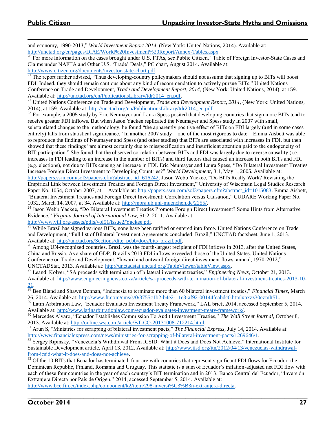$\overline{a}$ and economy, 1990-2013," *World Investment Report 2014*, (New York: United Nations, 2014). Available at: [http://unctad.org/en/pages/DIAE/World%20Investment%20Report/Annex-Tables.aspx.](http://unctad.org/en/pages/DIAE/World%20Investment%20Report/Annex-Tables.aspx)

<sup>20</sup> For more information on the cases brought under U.S. FTAs, see Public Citizen, "Table of Foreign Investor-State Cases and Claims under NAFTA and Other U.S. 'Trade' Deals," PC chart, August 2014. Available at:

[http://www.citizen.org/documents/investor-state-chart.pdf.](http://www.citizen.org/documents/investor-state-chart.pdf)

 $^{21}$  The report further advised, "Thus developing-country policymakers should not assume that signing up to BITs will boost FDI. Indeed, they should remain cautious about any kind of recommendation to actively pursue BITs." United Nations Conference on Trade and Development, *Trade and Development Report, 2014*, (New York: United Nations, 2014), at 159. Available at: [http://unctad.org/en/PublicationsLibrary/tdr2014\\_en.pdf.](http://unctad.org/en/PublicationsLibrary/tdr2014_en.pdf)

<sup>22</sup> United Nations Conference on Trade and Development, *Trade and Development Report, 2014*, (New York: United Nations, 2014), at 159. Available at: [http://unctad.org/en/PublicationsLibrary/tdr2014\\_en.pdf.](http://unctad.org/en/PublicationsLibrary/tdr2014_en.pdf)

 $^{23}$  For example, a 2005 study by Eric Neumayer and Laura Spess posited that developing countries that sign more BITs tend to receive greater FDI inflows. But when Jason Yackee replicated the Neumayer and Spess study in 2007 with small,

substantiated changes to the methodology, he found "the apparently positive effect of BITs on FDI largely (and in some cases entirely) falls from statistical significance." In another 2007 study – one of the most rigorous to date – Emma Aisbett was able to reproduce the findings of Neumayer and Spess (and other studies) that BITs are associated with increases in FDI, but then showed that these findings "are almost certainly due to misspecification and insufficient attention paid to the endogeneity of BIT participation." She found that the observed correlation between BITs and FDI was largely due to reverse causality (i.e. increases in FDI leading to an increase in the number of BITs) and third factors that caused an increase in both BITs and FDI (e.g. elections), not due to BITs causing an increase in FDI. Eric Neumayer and Laura Spess, "Do Bilateral Investment Treaties Increase Foreign Direct Investment to Developing Countries?" *World Development*, 3:1, May 1, 2005. Available at: [http://papers.ssrn.com/sol3/papers.cfm?abstract\\_id=616242.](http://papers.ssrn.com/sol3/papers.cfm?abstract_id=616242) Jason Webb Yackee, "Do BITs Really Work? Revisiting the Empirical Link between Investment Treaties and Foreign Direct Investment," University of Wisconsin Legal Studies Research

Paper No. 1054, October 2007, at 1. Available at: [http://papers.ssrn.com/sol3/papers.cfm?abstract\\_id=1015083.](http://papers.ssrn.com/sol3/papers.cfm?abstract_id=1015083) Emma Aisbett, "Bilateral Investment Treaties and Foreign Direct Investment: Correlation versus Causation," CUDARE Working Paper No. 1032, March 14, 2007, at 34. Available at: [http://mpra.ub.uni-muenchen.de/2255/.](http://mpra.ub.uni-muenchen.de/2255/)

<sup>24</sup> Jason Webb Yackee, "Do Bilateral Investment Treaties Promote Foreign Direct Investment? Some Hints from Alternative Evidence," *Virginia Journal of International Law*, 51:2, 2011. Available at: [http://www.vjil.org/assets/pdfs/vol51/issue2/Yackee.pdf.](http://www.vjil.org/assets/pdfs/vol51/issue2/Yackee.pdf)

<sup>25</sup> While Brazil has signed various BITs, none have been ratified or entered into force. United Nations Conference on Trade and Development, "Full list of Bilateral Investment Agreements concluded: Brazil," UNCTAD factsheet, June 1, 2013. Available at: [http://unctad.org/Sections/dite\\_pcbb/docs/bits\\_brazil.pdf.](http://unctad.org/Sections/dite_pcbb/docs/bits_brazil.pdf)

 $26$  Among UN-recognized countries, Brazil was the fourth-largest recipient of FDI inflows in 2013, after the United States, China and Russia. As a share of GDP, Brazil's 2013 FDI inflows exceeded those of the United States. United Nations Conference on Trade and Development, "Inward and outward foreign direct investment flows, annual, 1970-2012," UNCTADStat, 2013. Available at: [http://unctadstat.unctad.org/TableViewer/tableView.aspx.](http://unctadstat.unctad.org/TableViewer/tableView.aspx)

<sup>27</sup> Leandi Kolver, "SA proceeds with termination of bilateral investment treaties," *Engineering News*, October 21, 2013. Available at: [http://www.engineeringnews.co.za/article/sa-proceeds-with-termination-of-bilateral-investment-treaties-2013-10-](http://www.engineeringnews.co.za/article/sa-proceeds-with-termination-of-bilateral-investment-treaties-2013-10-21) [21.](http://www.engineeringnews.co.za/article/sa-proceeds-with-termination-of-bilateral-investment-treaties-2013-10-21)

<sup>28</sup> Ben Bland and Shawn Donnan, "Indonesia to terminate more than 60 bilateral investment treaties," *Financial Times*, March 26, 2014. Available at: [http://www.ft.com/cms/s/0/3755c1b2-b4e2-11e3-af92-00144feabdc0.html#axzz30ezmIt5L.](http://www.ft.com/cms/s/0/3755c1b2-b4e2-11e3-af92-00144feabdc0.html#axzz30ezmIt5L) 

<sup>29</sup> Latin Arbitration Law, "Ecuador Evaluates Investment Treaty Framework," LAL brief, 2014, accessed September 5, 2014. Available at: [http://www.latinarbitrationlaw.com/ecuador-evaluates-investment-treaty-framework/.](http://www.latinarbitrationlaw.com/ecuador-evaluates-investment-treaty-framework/)

<sup>30</sup> Mercedes Alvaro, "Ecuador Establishes Commission To Audit Investment Treaties," *The Wall Street Journal*, October 8, 2013. Available at: [http://online.wsj.com/article/BT-CO-20131008-712214.html.](http://online.wsj.com/article/BT-CO-20131008-712214.html) 

<sup>31</sup> Arun S, "Ministries for scrapping of bilateral investment pacts," *The Financial Express*, July 14, 2014. Available at: [http://www.financialexpress.com/news/ministries-for-scrapping-of-bilateral-investment-pacts/1269646/1.](http://www.financialexpress.com/news/ministries-for-scrapping-of-bilateral-investment-pacts/1269646/1) 

 $32$  Sergey Ripinsky, "Venezuela's Withdrawal From ICSID: What it Does and Does Not Achieve," International Institute for Sustainable Development article, April 13, 2012. Available at: [http://www.iisd.org/itn/2012/04/13/venezuelas-withdrawal](http://www.iisd.org/itn/2012/04/13/venezuelas-withdrawal-from-icsid-what-it-does-and-does-not-achieve/#_ftn1)[from-icsid-what-it-does-and-does-not-achieve.](http://www.iisd.org/itn/2012/04/13/venezuelas-withdrawal-from-icsid-what-it-does-and-does-not-achieve/#_ftn1)

 $33$  Of the 10 BITs that Ecuador has terminated, four are with countries that represent significant FDI flows for Ecuador: the Dominican Republic, Finland, Romania and Uruguay. This statistic is a sum of Ecuador's inflation-adjusted net FDI flow with each of these four countries in the year of each country's BIT termination and in 2013. Banco Central del Ecuador, "Inversión Extranjera Directa por País de Origen," 2014, accessed September 5, 2014. Available at:

[http://www.bce.fin.ec/index.php/component/k2/item/298-inversi%C3%B3n-extranjera-directa.](http://www.bce.fin.ec/index.php/component/k2/item/298-inversi%C3%B3n-extranjera-directa)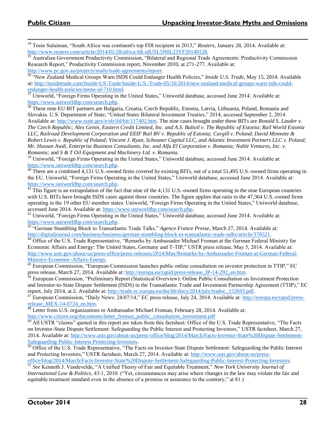<sup>34</sup> Tosin Sulaiman, "South Africa was continent's top FDI recipient in 2013," *Reuters*, January 28, 2014. Available at: [http://www.reuters.com/article/2014/01/28/africa-fdi-idUSL5N0L23YF20140128.](http://www.reuters.com/article/2014/01/28/africa-fdi-idUSL5N0L23YF20140128)

<sup>35</sup> Australian Government Productivity Commission, "Bilateral and Regional Trade Agreements: Productivity Commission Research Report," Productivity Commission report, November 2010, at 271-277. Available at: [http://www.pc.gov.au/projects/study/trade-agreements/report.](http://www.pc.gov.au/projects/study/trade-agreements/report)

<sup>36</sup> "New Zealand Medical Groups Warn ISDS Could Endanger Health Policies," *Inside U.S. Trade*, May 15, 2014. Available at: [http://insidetrade.com/Inside-US-Trade/Inside-U.S.-Trade-05/16/2014/new-zealand-medical-groups-warn-isds-could](http://insidetrade.com/Inside-US-Trade/Inside-U.S.-Trade-05/16/2014/new-zealand-medical-groups-warn-isds-could-endanger-health-policies/menu-id-710.html)endanger-health-policies/menu-id-710.html.<br><sup>37</sup> Uniworld "Foreign Firms Operating in the

<sup>37</sup> Uniworld, "Foreign Firms Operating in the United States," Uniworld database, accessed June 2014. Available at: [https://www.uniworldbp.com/search.php.](https://www.uniworldbp.com/search.php)

<sup>38</sup> These nine EU BIT partners are Bulgaria, Croatia, Czech Republic, Estonia, Latvia, Lithuania, Poland, Romania and Slovakia. U.S. Department of State, "United States Bilateral Investment Treaties," 2014, accessed September 2, 2014. Available at: [http://www.state.gov/e/eb/ifd/bit/117402.htm.](http://www.state.gov/e/eb/ifd/bit/117402.htm) The nine cases brought under these BITs are *Ronald S. Lauder v. The Czech Republic; Alex Genin, Eastern Credit Limited, Inc. and A.S. Baltoil v. The Republic of Estonia*; *Rail World Estonia LLC, Railroad Development Corporation and EEIF Rail BV v. Republic of Estonia; Cargill v. Poland*; *David Minnotte & Robert Lewis v. Republic of Poland; Vincent J. Ryan, Schooner Capital LLC, and Atlantic Investment Partners LLC v. Poland; Mr. Hassan Awdi, Enterprise Business Consultants, Inc. and Alfa El Corporation v. Romania; Noble Ventures, Inc. v. Romania;* and *S & T Oil Equipment and Machinery Ltd. v. Romania.*

<sup>39</sup> Uniworld, "Foreign Firms Operating in the United States," Uniworld database, accessed June 2014. Available at: [https://www.uniworldbp.com/search.php.](https://www.uniworldbp.com/search.php)

<sup>40</sup> There are a combined 4,131 U.S.-owned firms covered by existing BITs, out of a total 51,495 U.S.-owned firms operating in the EU. Uniworld, "Foreign Firms Operating in the United States," Uniworld database, accessed June 2014. Available at: [https://www.uniworldbp.com/search.php.](https://www.uniworldbp.com/search.php)

 $\frac{41}{11}$  This figure is an extrapolation of the fact that nine of the 4,131 U.S.-owned firms operating in the nine European countries with U.S. BITs have brought ISDS cases against those countries. The figure applies that ratio to the 47,364 U.S.-owned firms operating in the 19 other EU member states. Uniworld, "Foreign Firms Operating in the United States," Uniworld database, accessed June 2014. Available at: [https://www.uniworldbp.com/search.php.](https://www.uniworldbp.com/search.php)

<sup>42</sup> Uniworld, "Foreign Firms Operating in the United States," Uniworld database, accessed June 2014. Available at: [https://www.uniworldbp.com/search.php.](https://www.uniworldbp.com/search.php)

<sup>43</sup> "German Stumbling Block to Transatlantic Trade Talks," *Agence France Presse*, March 27, 2014. Available at: [http://digitaljournal.com/business/business/german-stumbling-block-to-transatlantic-trade-talks/article/378521.](http://digitaljournal.com/business/business/german-stumbling-block-to-transatlantic-trade-talks/article/378521)

<sup>44</sup> Office of the U.S. Trade Representative, "Remarks by Ambassador Michael Froman at the German Federal Ministry for Economic Affairs and Energy: The United States, Germany and T-TIP," USTR press release, May 5, 2014. Available at: [http://www.ustr.gov/about-us/press-office/press-releases/2014/May/Remarks-by-Ambassador-Froman-at-German-Federal-](http://www.ustr.gov/about-us/press-office/press-releases/2014/May/Remarks-by-Ambassador-Froman-at-German-Federal-Ministry-Economic-Affairs-Energy)[Ministry-Economic-Affairs-Energy.](http://www.ustr.gov/about-us/press-office/press-releases/2014/May/Remarks-by-Ambassador-Froman-at-German-Federal-Ministry-Economic-Affairs-Energy)

 $45$  European Commission, "European Commission launches public online consultation on investor protection in TTIP," EC press release, March 27, 2014. Available at: [http://europa.eu/rapid/press-release\\_IP-14-292\\_en.htm.](http://europa.eu/rapid/press-release_IP-14-292_en.htm) 

 $6$  European Commission, "Preliminary Report (Statistical Overview): Online Public Consultation on Investment Protection and Investor-to-State Dispute Settlement (ISDS) in the Transatlantic Trade and Investment Partnership Agreement (TTIP)," EC report, July 2014, at 2. Available at: [http://trade.ec.europa.eu/doclib/docs/2014/july/tradoc\\_152693.pdf.](http://trade.ec.europa.eu/doclib/docs/2014/july/tradoc_152693.pdf)

 $^{47}$  European Commission, "Daily News: 24/07/14," EC press release, July 24, 2014. Available at: [http://europa.eu/rapid/press](http://europa.eu/rapid/press-release_MEX-14-0724_en.htm)release MEX-14-0724 en.htm.

<sup>48</sup> Letter from U.S. organizations to Ambassador Michael Froman, February 28, 2014. Available at:

[http://www.citizen.org/documents/letter\\_froman\\_public\\_consultation\\_investment.pdf](http://www.citizen.org/documents/letter_froman_public_consultation_investment.pdf)

<sup>49</sup> All USTR "claims" quoted in this report are taken from this factsheet: Office of the U.S. Trade Representative, "The Facts on Investor-State Dispute Settlement: Safeguarding the Public Interest and Protecting Investors," USTR factsheet, March 27, 2014. Available at: [http://www.ustr.gov/about-us/press-office/blog/2014/March/Facts-Investor-State%20Dispute-Settlement-](http://www.ustr.gov/about-us/press-office/blog/2014/March/Facts-Investor-State%20Dispute-Settlement-Safeguarding-Public-Interest-Protecting-Investors)[Safeguarding-Public-Interest-Protecting-Investors.](http://www.ustr.gov/about-us/press-office/blog/2014/March/Facts-Investor-State%20Dispute-Settlement-Safeguarding-Public-Interest-Protecting-Investors) 

<sup>50</sup> Office of the U.S. Trade Representative, "The Facts on Investor-State Dispute Settlement: Safeguarding the Public Interest and Protecting Investors," USTR factsheet, March 27, 2014. Available at: [http://www.ustr.gov/about-us/press-](http://www.ustr.gov/about-us/press-office/blog/2014/March/Facts-Investor-State%20Dispute-Settlement-Safeguarding-Public-Interest-Protecting-Investors)

[office/blog/2014/March/Facts-Investor-State%20Dispute-Settlement-Safeguarding-Public-Interest-Protecting-Investors.](http://www.ustr.gov/about-us/press-office/blog/2014/March/Facts-Investor-State%20Dispute-Settlement-Safeguarding-Public-Interest-Protecting-Investors) <sup>51</sup> *See* Kenneth J. Vandevelde, "A Unified Theory of Fair and Equitable Treatment," *New York University Journal of* 

*International Law & Politics*, 43:1, 2010. ("Yet, circumstances may arise where changes in the law may violate the fair and equitable treatment standard even in the absence of a promise or assurance to the contrary," at 81.)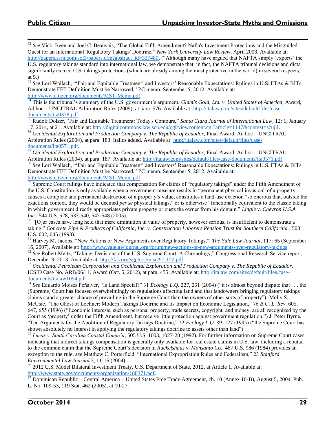$\overline{a}$ <sup>52</sup> *See* Vicki Been and Joel C. Beauvais, "The Global Fifth Amendment? Nafta's Investment Protections and the Misguided Quest for an International 'Regulatory Takings' Doctrine," *New York University Law Review*, April 2003. Available at: [http://papers.ssrn.com/sol3/papers.cfm?abstract\\_id=337480.](http://papers.ssrn.com/sol3/papers.cfm?abstract_id=337480) ("Although many have argued that NAFTA simply 'exports' the

U.S. regulatory takings standard into international law, we demonstrate that, in fact, the NAFTA tribunal decisions and dicta significantly exceed U.S. takings protections (which are already among the most protective in the world) in several respects." at 5.)

<sup>53</sup> *See* Lori Wallach, "'Fair and Equitable Treatment' and Investors' Reasonable Expectations: Rulings in U.S. FTAs & BITs Demonstrate FET Definition Must be Narrowed," PC memo, September 5, 2012. Available at: [http://www.citizen.org/documents/MST-Memo.pdf.](http://www.citizen.org/documents/MST-Memo.pdf)

<sup>54</sup> This is the tribunal's summary of the U.S. government's argument. *Glamis Gold, Ltd. v. United States of America*, Award, Ad hoc—UNCITRAL Arbitration Rules (2009), at para. 576. Available at: [http://italaw.com/sites/default/files/case](http://italaw.com/sites/default/files/case-documents/ita0378.pdf)[documents/ita0378.pdf.](http://italaw.com/sites/default/files/case-documents/ita0378.pdf) 

<sup>55</sup> Rudolf Dolzer, "Fair and Equitable Treatment: Today's Contours," *Santa Clara Journal of International Law*, 12: 1, January 17, 2014, at 21. Available at: [http://digitalcommons.law.scu.edu/cgi/viewcontent.cgi?article=1147&context=scujil.](http://digitalcommons.law.scu.edu/cgi/viewcontent.cgi?article=1147&context=scujil)

<sup>56</sup> *Occidental Exploration and Production Company v. The Republic of Ecuador*, Final Award, Ad hoc – UNCITRAL Arbitration Rules (2004), at para. 183. Italics added. Available at: [http://italaw.com/sites/default/files/case](http://italaw.com/sites/default/files/case-documents/ita0571.pdf)[documents/ita0571.pdf.](http://italaw.com/sites/default/files/case-documents/ita0571.pdf) 

<sup>57</sup> *Occidental Exploration and Production Company v. The Republic of Ecuador*, Final Award, Ad hoc – UNCITRAL Arbitration Rules (2004), at para. 187. Available at: [http://italaw.com/sites/default/files/case-documents/ita0571.pdf.](http://italaw.com/sites/default/files/case-documents/ita0571.pdf)

<sup>58</sup> *See* Lori Wallach, "'Fair and Equitable Treatment' and Investors' Reasonable Expectations: Rulings in U.S. FTAs & BITs Demonstrate FET Definition Must be Narrowed," PC memo, September 5, 2012. Available at: [http://www.citizen.org/documents/MST-Memo.pdf.](http://www.citizen.org/documents/MST-Memo.pdf)

 $59$  Supreme Court rulings have indicated that compensation for claims of "regulatory takings" under the Fifth Amendment of the U.S. Constitution is only available when a government measure results in "permanent physical invasion" of a property, causes a complete and permanent destruction of a property's value, constitutes a land-use exaction "so onerous that, outside the exactions context, they would be deemed *per se* physical takings," or is otherwise "functionally equivalent to the classic taking in which government directly appropriates private property or ousts the owner from his domain." *Lingle v. Chevron U.S.A. Inc.*, 544 U.S. 528, 537-540, 547-548 (2005).

 $60$  "[O]ur cases have long held that mere diminution in value of property, however serious, is insufficient to demonstrate a taking." *Concrete Pipe & Products of California, Inc. v. Construction Laborers Pension Trust for Southern California.*, 508 U.S. 602, 645 (1993).

<sup>61</sup> Harvey M. Jacobs, "New Actions or New Arguments over Regulatory Takings?" *The Yale Law Journal*, 117: 65 (September 16, 2007). Available at: [http://www.yalelawjournal.org/forum/new-actions-or-new-arguments-over-regulatory-takings.](http://www.yalelawjournal.org/forum/new-actions-or-new-arguments-over-regulatory-takings) <sup>62</sup> *See* Robert Meltz, "Takings Decisions of the U.S. Supreme Court: A Chronology," Congressional Research Service report,

December 9, 2013. Available at: [http://fas.org/sgp/crs/misc/97-122.pdf.](http://fas.org/sgp/crs/misc/97-122.pdf)

<sup>63</sup> *Occidental Petroleum Corporation and Occidental Exploration and Production Company v. The Republic of Ecuador,*  ICSID Case No. ARB/06/11, Award (Oct. 5, 2012), at para. 455. Available at: [http://italaw.com/sites/default/files/case](http://italaw.com/sites/default/files/case-documents/italaw1094.pdf)[documents/italaw1094.pdf.](http://italaw.com/sites/default/files/case-documents/italaw1094.pdf)

<sup>64</sup> See Eduardo Moisès Peñalver, "Is Land Special?" 31 *Ecology L.Q.* 227, 231 (2004) ("it is almost beyond dispute that . . . the [Supreme] Court has focused overwhelmingly on regulations affecting land and that landowners bringing regulatory takings claims stand a greater chance of prevailing in the Supreme Court than the owners of other sorts of property"); Molly S. McUsic, "The Ghost of Lochner: Modern Takings Doctrine and Its Impact on Economic Legislation," 76 *B.U. L. Rev.* 605, 647, 655 (1996) ("Economic interests, such as personal property, trade secrets, copyright, and money, are all recognized by the Court as 'property' under the Fifth Amendment, but receive little protection against government regulation.") J. Peter Byrne, "Ten Arguments for the Abolition of Regulatory Takings Doctrine," 22 *Ecology L.Q.* 89, 127 (1995) ("the Supreme Court has shown absolutely no interest in applying the regulatory takings doctrine to assets other than land").

<sup>65</sup> *Lucas v. South Carolina Coastal Comm'n*, 505 U.S. 1003, 1027-28 (1992). For further information on Supreme Court cases indicating that indirect takings compensation is generally only available for real estate claims in U.S. law, including a rebuttal to the common claim that the Supreme Court's decision in *Ruckelshaus v. Monsanto Co.*, 467 U.S. 986 (1984) provides an exception to the rule, *see* Matthew C. Porterfield, "International Expropriation Rules and Federalism," 23 *Stanford Environmental Law Journal* 3, 11-16 (2004).

<sup>66</sup> 2012 U.S. Model Bilateral Investment Treaty, U.S. Department of State, 2012, at Article 1. Available at: [http://www.state.gov/documents/organization/188371.pdf.](http://www.state.gov/documents/organization/188371.pdf)

 $^{67}$  Dominican Republic – Central America – United States Free Trade Agreement, ch. 10 (Annex 10-B), August 5, 2004, Pub. L. No. 109-53, 119 Stat. 462 (2005), at 10-27.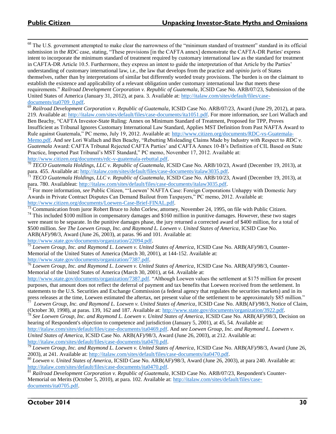<sup>68</sup> The U.S. government attempted to make clear the narrowness of the "minimum standard of treatment" standard in its official submission in the *RDC* case, stating, "These provisions [in the CAFTA annex] demonstrate the CAFTA-DR Parties' express intent to incorporate the minimum standard of treatment required by customary international law as the standard for treatment in CAFTA-DR Article 10.5. Furthermore, they express an intent to guide the interpretation of that Article by the Parties' understanding of customary international law, i.e., the law that develops from the practice and *opinio juris* of States themselves, rather than by interpretations of similar but differently worded treaty provisions. The burden is on the claimant to establish the existence and applicability of a relevant obligation under customary international law that meets these requirements." *Railroad Development Corporation v. Republic of Guatemala*, ICSID Case No. ARB/07/23, Submission of the United States of America (January 31, 2012), at para. 3. Available at: [http://italaw.com/sites/default/files/case](http://italaw.com/sites/default/files/case-documents/ita0709_0.pdf)documents/ita0709\_0.pdf.

<sup>69</sup> *Railroad Development Corporation v. Republic of Guatemala*, ICSID Case No. ARB/07/23, Award (June 29, 2012), at para. 219. Available at: [http://italaw.com/sites/default/files/case-documents/ita1051.pdf.](http://italaw.com/sites/default/files/case-documents/ita1051.pdf) For more information, *see* Lori Wallach and Ben Beachy, "CAFTA Investor-State Ruling: Annex on Minimum Standard of Treatment, Proposed for TPP, Proves Insufficient as Tribunal Ignores Customary International Law Standard, Applies MST Definition from Past NAFTA Award to Rule against Guatemala," PC memo, July 19, 2012. Available at: [http://www.citizen.org/documents/RDC-vs-Guatemala-](http://www.citizen.org/documents/RDC-vs-Guatemala-Memo.pdf)[Memo.pdf.](http://www.citizen.org/documents/RDC-vs-Guatemala-Memo.pdf) And *see* Lori Wallach and Ben Beachy, "Rebutting Misleading Claims Made by Industry with Respect to *RDC v. Guatemala* Award: CAFTA Tribunal Rejected CAFTA Parties' and CAFTA Annex 10-B's Definition of CIL Based on State Practice, Imported Past Tribunal's MST Standard," PC memo, November 17, 2012. Available at: [http://www.citizen.org/documents/rdc-v-guatemala-rebuttal.pdf.](http://www.citizen.org/documents/rdc-v-guatemala-rebuttal.pdf)

<sup>70</sup> *TECO Guatemala Holdings, LLC v. Republic of Guatemala*, ICSID Case No. ARB/10/23, Award (December 19, 2013), at para. 455. Available at: http://italaw.com/sites/default/files/case-documents/italaw3035.pdf.<br> $\frac{71}{T}$ FECO Customala H. H.L.

<sup>71</sup> *TECO Guatemala Holdings, LLC v. Republic of Guatemala*, ICSID Case No. ARB/10/23, Award (December 19, 2013), at para. 780. Availableat: [http://italaw.com/sites/default/files/case-documents/italaw3035.pdf.](http://italaw.com/sites/default/files/case-documents/italaw3035.pdf)

<sup>72</sup> For more information, *see* Public Citizen, "'Loewen' NAFTA Case: Foreign Corporations Unhappy with Domestic Jury Awards in Private Contract Disputes Can Demand Bailout from Taxpayers," PC memo, 2012. Available at: [http://www.citizen.org/documents/Loewen-Case-Brief-FINAL.pdf.](http://www.citizen.org/documents/Loewen-Case-Brief-FINAL.pdf)

 $\frac{73}{13}$  Communication from juror Robert Bruce to John Corlew, attorney, November 24, 1995, on file with Public Citizen.

<sup>74</sup> This included \$100 million in compensatory damages and \$160 million in punitive damages. However, these two stages were meant to be separate. In the punitive damages phase, the jury returned a corrected award of \$400 million, for a total of \$500 million. *See The Loewen Group, Inc. and Raymond L. Loewen v. United States of America*, ICSID Case No. ARB(AF)/98/3, Award (June 26, 2003), at paras. 96 and 101. Available at:

[http://www.state.gov/documents/organization/22094.pdf.](http://www.state.gov/documents/organization/22094.pdf)

<sup>75</sup> *Loewen Group, Inc. and Raymond L. Loewen v. United States of America*, ICSID Case No. ARB(AF)/98/3, Counter-Memorial of the United States of America (March 30, 2001), at 144-152. Available at: [http://www.state.gov/documents/organization/7387.pdf.](http://www.state.gov/documents/organization/7387.pdf)

<sup>76</sup> *Loewen Group, Inc. and Raymond L. Loewen v. United States of America*, ICSID Case No. ARB(AF)/98/3, Counter-Memorial of the United States of America (March 30, 2001), at 64. Available at:

[http://www.state.gov/documents/organization/7387.pdf.](http://www.state.gov/documents/organization/7387.pdf) "Although Loewen values the settlement at \$175 million for present purposes, that amount does not reflect the deferral of payment and tax benefits that Loewen received from the settlement. In statements to the U.S. Securities and Exchange Commission (a federal agency that regulates the securities markets) and in its press releases at the time, Loewen estimated the aftertax, net present value of the settlement to be approximately \$85 million."

<sup>77</sup> Loewen Group, Inc. and Raymond L. Loewen v. United States of America, ICSID Case No. ARB(AF)/98/3, Notice of Claim, (October 30, 1998), at paras. 139, 162 and 187. Available at: [http://www.state.gov/documents/organization/3922.pdf.](http://www.state.gov/documents/organization/3922.pdf)

<sup>78</sup> *See Loewen Group, Inc. and Raymond L. Loewen v. United States of America*, ICSID Case No. ARB(AF)/98/3, Decision on hearing of Respondent's objection to competence and jurisdiction (January 5, 2001), at 45, 54. Available at:

[http://italaw.com/sites/default/files/case-documents/ita0469.pdf.](http://italaw.com/sites/default/files/case-documents/ita0469.pdf) And *see Loewen Group, Inc. and Raymond L. Loewen v. United States of America*, ICSID Case No. ARB(AF)/98/3, Award (June 26, 2003), at 212. Available at: [http://italaw.com/sites/default/files/case-documents/ita0470.pdf.](http://italaw.com/sites/default/files/case-documents/ita0470.pdf)

<sup>79</sup> *Loewen Group, Inc. and Raymond L. Loewen v. United States of America*, ICSID Case No. ARB(AF)/98/3, Award (June 26, 2003), at 241. Available at: [http://italaw.com/sites/default/files/case-documents/ita0470.pdf.](http://italaw.com/sites/default/files/case-documents/ita0470.pdf)

<sup>80</sup> *Loewen v. United States of America*, ICSID Case No. ARB(AF)/98/3, Award (June 26, 2003), at para 240. Available at: [http://italaw.com/sites/default/files/case-documents/ita0470.pdf.](http://italaw.com/sites/default/files/case-documents/ita0470.pdf)

<sup>81</sup> *Railroad Development Corporation v. Republic of Guatemala*, ICSID Case No. ARB/07/23, Respondent's Counter-Memorial on Merits (October 5, 2010), at para. 102. Available at: [http://italaw.com/sites/default/files/case](http://italaw.com/sites/default/files/case-documents/ita0705.pdf)[documents/ita0705.pdf.](http://italaw.com/sites/default/files/case-documents/ita0705.pdf)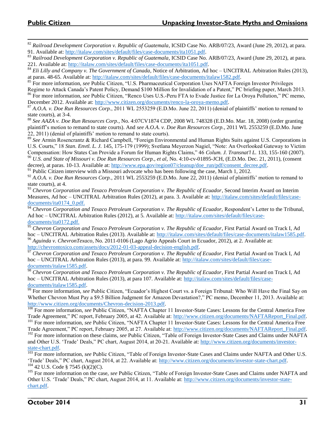<sup>82</sup> *Railroad Development Corporation v. Republic of Guatemala*, ICSID Case No. ARB/07/23, Award (June 29, 2012), at para. 91. Available at: [http://italaw.com/sites/default/files/case-documents/ita1051.pdf.](http://italaw.com/sites/default/files/case-documents/ita1051.pdf)

<sup>83</sup> *Railroad Development Corporation v. Republic of Guatemala*, ICSID Case No. ARB/07/23, Award (June 29, 2012), at para. 221. Available at: [http://italaw.com/sites/default/files/case-documents/ita1051.pdf.](http://italaw.com/sites/default/files/case-documents/ita1051.pdf)

<sup>84</sup> *Eli Lilly and Company v. The Government of Canada*, Notice of Arbitration, Ad hoc – UNCITRAL Arbitration Rules (2013), at paras. 48-65. Available at: [http://italaw.com/sites/default/files/case-documents/italaw1582.pdf.](http://italaw.com/sites/default/files/case-documents/italaw1582.pdf)

<sup>85</sup> For more information, *see* Public Citizen, "U.S. Pharmaceutical Corporation Uses NAFTA Foreign Investor Privileges Regime to Attack Canada's Patent Policy, Demand \$100 Million for Invalidation of a Patent," PC briefing paper, March 2013.

<sup>86</sup> For more information, *see* Public Citizen, "Renco Uses U.S.-Peru FTA to Evade Justice for La Oroya Pollution," PC memo, December 2012. Available at: [http://www.citizen.org/documents/renco-la-oroya-memo.pdf.](http://www.citizen.org/documents/renco-la-oroya-memo.pdf)

<sup>87</sup> *A.O.A. v. Doe Run Resources Corp.*, 2011 WL 2553259 (E.D.Mo. June 22, 2011) (denial of plaintiffs' motion to remand to state courts), at 3-4.

<sup>88</sup> *See AAZA v. Doe Run Resources Corp.*, No. 4:07CV1874 CDP, 2008 WL 748328 (E.D.Mo. Mar. 18, 2008) (order granting plaintiff's motion to remand to state courts). And *see A.O.A. v. Doe Run Resources Corp.*, 2011 WL 2553259 (E.D.Mo. June 22, 2011) (denial of plaintiffs' motion to remand to state courts).

<sup>89</sup> *See* Armin Rosencrantz & Richard Campbell, "Foreign Environmental and Human Rights Suits against U.S. Corporations in U.S. Courts," 18 *Stan. Envtl. L. J.* 145, 175-179 (1999); Svetlana Meyerzon Nagiel, "Note: An Overlooked Gateway to Victim Compensation: How States Can Provide a Forum for Human Rights Claims," 46 *Colum. J. Transnat'l L.* 133, 155-160 (2007).

<sup>90</sup> *U.S. and State of Missouri v. Doe Run Resources Corp., et al,* No. 4:10-cv-01895-JCH, (E.D.Mo. Dec. 21, 2011), (consent decree), at paras. 10-13. Available at: [http://www.epa.gov/region07/cleanup/doe\\_run/pdf/consent\\_decree.pdf.](http://www.epa.gov/region07/cleanup/doe_run/pdf/consent_decree.pdf)

 $91$  Public Citizen interview with a Missouri advocate who has been following the case, March 1, 2012.

<sup>92</sup> *A.O.A. v. Doe Run Resources Corp.*, 2011 WL 2553259 (E.D.Mo. June 22, 2011) (denial of plaintiffs' motion to remand to state courts), at 4.

<sup>93</sup> Chevron Corporation and Texaco Petroleum Corporation v. The Republic of Ecuador, Second Interim Award on Interim Measures, Ad hoc – UNCITRAL Arbitration Rules (2012), at para. 3. Available at[: http://italaw.com/sites/default/files/case](http://italaw.com/sites/default/files/case-documents/ita0174_0.pdf)[documents/ita0174\\_0.pdf.](http://italaw.com/sites/default/files/case-documents/ita0174_0.pdf)

<sup>94</sup> Chevron Corporation and Texaco Petroleum Corporation v. The Republic of Ecuador, Respondent's Letter to the Tribunal, Ad hoc – UNCITRAL Arbitration Rules (2012), at 5. Available at: [http://italaw.com/sites/default/files/case](http://italaw.com/sites/default/files/case-documents/ita0172.pdf)[documents/ita0172.pdf.](http://italaw.com/sites/default/files/case-documents/ita0172.pdf)

<sup>95</sup> Chevron Corporation and Texaco Petroleum Corporation v. The Republic of Ecuador, First Partial Award on Track I, Ad hoc – UNCITRAL Arbitration Rules (2013). Available at: [http://italaw.com/sites/default/files/case-documents/italaw1585.pdf.](http://italaw.com/sites/default/files/case-documents/italaw1585.pdf) <sup>96</sup> *Aguinda v. ChevronTexaco*, No. 2011-0106 (Lago Agrio Appeals Court in Ecuador, 2012), at 2. Available at:

[http://chevrontoxico.com/assets/docs/2012-01-03-appeal-decision-english.pdf.](http://chevrontoxico.com/assets/docs/2012-01-03-appeal-decision-english.pdf)

<sup>97</sup> *Chevron Corporation and Texaco Petroleum Corporation v. The Republic of Ecuador*, First Partial Award on Track I, Ad hoc – UNCITRAL Arbitration Rules (2013), at para. 99. Available at: [http://italaw.com/sites/default/files/case](http://italaw.com/sites/default/files/case-documents/italaw1585.pdf)[documents/italaw1585.pdf.](http://italaw.com/sites/default/files/case-documents/italaw1585.pdf)

<sup>98</sup> *Chevron Corporation and Texaco Petroleum Corporation v. The Republic of Ecuador*, First Partial Award on Track I, Ad hoc – UNCITRAL Arbitration Rules (2013), at para 107. Available at: [http://italaw.com/sites/default/files/case](http://italaw.com/sites/default/files/case-documents/italaw1585.pdf)[documents/italaw1585.pdf.](http://italaw.com/sites/default/files/case-documents/italaw1585.pdf)

<sup>99</sup> For more information, *see* Public Citizen, "Ecuador's Highest Court vs. a Foreign Tribunal: Who Will Have the Final Say on Whether Chevron Must Pay a \$9.5 Billion Judgment for Amazon Devastation?," PC memo, December 11, 2013. Available at: [http://www.citizen.org/documents/Chevron-decision-2013.pdf.](http://www.citizen.org/documents/Chevron-decision-2013.pdf)

<sup>100</sup> For more information, *see* Public Citizen, "NAFTA Chapter 11 Investor-State Cases: Lessons for the Central America Free Trade Agreement," PC report, February 2005, at 42. Available at: [http://www.citizen.org/documents/NAFTAReport\\_Final.pdf.](http://www.citizen.org/documents/NAFTAReport_Final.pdf)

<sup>101</sup> For more information, *see* Public Citizen, "NAFTA Chapter 11 Investor-State Cases: Lessons for the Central America Free Trade Agreement," PC report, February 2005, at 27. Available at: [http://www.citizen.org/documents/NAFTAReport\\_Final.pdf.](http://www.citizen.org/documents/NAFTAReport_Final.pdf)

<sup>102</sup> For more information on these claims, *see* Public Citizen, "Table of Foreign Investor-State Cases and Claims under NAFTA and Other U.S. 'Trade' Deals," PC chart, August 2014, at 20-21. Available at: [http://www.citizen.org/documents/investor](http://www.citizen.org/documents/investor-state-chart.pdf)[state-chart.pdf.](http://www.citizen.org/documents/investor-state-chart.pdf)

<sup>103</sup> For more information, *see* Public Citizen, "Table of Foreign Investor-State Cases and Claims under NAFTA and Other U.S. 'Trade' Deals," PC chart, August 2014, at 22. Available at: [http://www.citizen.org/documents/investor-state-chart.pdf.](http://www.citizen.org/documents/investor-state-chart.pdf) <sup>104</sup> 42 U.S. Code § 7545 (k)(2)(C).

<sup>105</sup> For more information on the case, *see* Public Citizen, "Table of Foreign Investor-State Cases and Claims under NAFTA and Other U.S. 'Trade' Deals," PC chart, August 2014, at 11. Available at: [http://www.citizen.org/documents/investor-state](http://www.citizen.org/documents/investor-state-chart.pdf)[chart.pdf.](http://www.citizen.org/documents/investor-state-chart.pdf)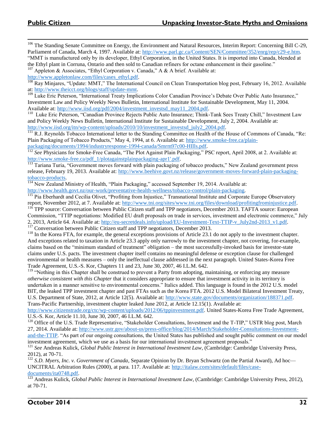<sup>106</sup> The Standing Senate Committee on Energy, the Environment and Natural Resources, Interim Report: Concerning Bill C-29, Parliament of Canada, March 4, 1997. Available at: [http://www.parl.gc.ca/Content/SEN/Committee/352/enrg/rep/c29-e.htm.](http://www.parl.gc.ca/Content/SEN/Committee/352/enrg/rep/c29-e.htm) "MMT is manufactured only by its developer, Ethyl Corporation, in the United States. It is imported into Canada, blended at

the Ethyl plant in Corruna, Ontario and then sold to Canadian refiners for octane enhancement in their gasoline." <sup>107</sup> Appleton & Associates, "Ethyl Corporation v. Canada," A & A brief. Available at:

[http://www.appletonlaw.com/files/cases\\_ethyl.pdf.](http://www.appletonlaw.com/files/cases_ethyl.pdf)

<sup>108</sup> Ray Minjares, "Update: MMT," The International Council on Clean Transportation blog post, February 16, 2012. Available at: [http://www.theicct.org/blogs/staff/update-mmt.](http://www.theicct.org/blogs/staff/update-mmt) 

<sup>109</sup> Luke Eric Peterson, "International Treaty Implications Color Canadian Province's Debate Over Public Auto Insurance," Investment Law and Policy Weekly News Bulletin, International Institute for Sustainable Development, May 11, 2004. Available at: [http://www.iisd.org/pdf/2004/investment\\_investsd\\_may11\\_2004.pdf.](http://www.iisd.org/pdf/2004/investment_investsd_may11_2004.pdf)

110 Luke Eric Peterson, "Canadian Province Rejects Public Auto Insurance; Think-Tank Sees Treaty Chill," Investment Law and Policy Weekly News Bulletin, International Institute for Sustainable Development, July 2, 2004. Available at: [http://www.iisd.org/itn/wp-content/uploads/2010/10/investment\\_investsd\\_july2\\_2004.pdf.](http://www.iisd.org/itn/wp-content/uploads/2010/10/investment_investsd_july2_2004.pdf)

<sup>111</sup> R.J. Reynolds Tobacco International letter to the Standing Committee on Health of the House of Commons of Canada, "Re: Plain Packaging of Tobacco Products," May 4, 1994, at 6. Available at: [http://www.smoke-free.ca/plain](http://www.smoke-free.ca/plain-packaging/documents/1994/industryresponse-1994-canada/Smrm97c00-HIlls.pdf)[packaging/documents/1994/industryresponse-1994-canada/Smrm97c00-HIlls.pdf.](http://www.smoke-free.ca/plain-packaging/documents/1994/industryresponse-1994-canada/Smrm97c00-HIlls.pdf)

<sup>112</sup> *See* Physicians for Smoke-Free Canada, "The Plot Against Plain Packaging," PSC report, April 2008, at 2. Available at: [http://www.smoke-free.ca/pdf\\_1/plotagainstplainpackaging-apr1'.pdf.](http://www.smoke-free.ca/pdf_1/plotagainstplainpackaging-apr1) 

<sup>113</sup> Tariana Turia, "Government moves forward with plain packaging of tobacco products," New Zealand government press release, February 19, 2013. Available at: [http://www.beehive.govt.nz/release/government-moves-forward-plain-packaging](http://www.beehive.govt.nz/release/government-moves-forward-plain-packaging-tobacco-products)[tobacco-products.](http://www.beehive.govt.nz/release/government-moves-forward-plain-packaging-tobacco-products) 

<sup>114</sup> New Zealand Ministry of Health, "Plain Packaging," accessed September 19, 2014. Available at:

[http://www.health.govt.nz/our-work/preventative-health-wellness/tobacco-control/plain-packaging.](http://www.health.govt.nz/our-work/preventative-health-wellness/tobacco-control/plain-packaging)

<sup>115</sup> Pia Eberhardt and Cecilia Olivet, "Profiting from Injustice," Transnational Institute and Corporate Europe Observatory report, November 2012, at 7. Available at: [http://www.tni.org/sites/www.tni.org/files/download/profitingfrominjustice.pdf.](http://www.tni.org/sites/www.tni.org/files/download/profitingfrominjustice.pdf)

<sup>116</sup> TPP source: Conversation between Public Citizen staff and TPP negotiators, December 2013. TAFTA source: European Commission, "TTIP negotiations: Modified EU draft proposals on trade in services, investment and electronic commerce," July 2, 2013, Article 64. Available at[: http://eu-secretdeals.info/upload/EU-Investment-Text-TTIP-v\\_July2nd-2013\\_v1.pdf.](http://eu-secretdeals.info/upload/EU-Investment-Text-TTIP-v_July2nd-2013_v1.pdf)

 $117$  Conversation between Public Citizen staff and TPP negotiators, December 2013.

<sup>118</sup> In the Korea FTA, for example, the general exceptions provisions of Article 23.1 do not apply to the investment chapter. And exceptions related to taxation in Article 23.3 apply only narrowly to the investment chapter, not covering, for-example, claims based on the "minimum standard of treatment" obligation – the most successfully-invoked basis for investor-state claims under U.S. pacts. The investment chapter itself contains no meaningful defense or exception clause for challenged environmental or health measures – only the ineffectual clause addressed in the next paragraph. United States-Korea Free Trade Agreement, U.S.-S. Kor, Chapters 11 and 23, June 30, 2007, 46 I.L.M. 642.

<sup>119</sup> "Nothing in this Chapter shall be construed to prevent a Party from adopting, maintaining, or enforcing any measure *otherwise consistent with this Chapter* that it considers appropriate to ensure that investment activity in its territory is undertaken in a manner sensitive to environmental concerns." Italics added. This language is found in the 2012 U.S. model BIT, the leaked TPP investment chapter and past FTAs such as the Korea FTA. 2012 U.S. Model Bilateral Investment Treaty, U.S. Department of State, 2012, at Article 12(5). Available at[: http://www.state.gov/documents/organization/188371.pdf.](http://www.state.gov/documents/organization/188371.pdf) Trans-Pacific Partnership, investment chapter leaked June 2012, at Article 12.15(1). Available at:

[http://www.citizenstrade.org/ctc/wp-content/uploads/2012/06/tppinvestment.pdf.](http://www.citizenstrade.org/ctc/wp-content/uploads/2012/06/tppinvestment.pdf) United States-Korea Free Trade Agreement, U.S.-S. Kor, Article 11.10, June 30, 2007, 46 I.L.M. 642.

<sup>120</sup> Office of the U.S. Trade Representative, "Stakeholder Consultations, Investment and the T-TIP," USTR blog post, March 27, 2014. Available at: [http://www.ustr.gov/about-us/press-office/blog/2014/March/Stakeholder-Consultations-Investment](http://www.ustr.gov/about-us/press-office/blog/2014/March/Stakeholder-Consultations-Investment-and-the-TTIP)[and-the-TTIP.](http://www.ustr.gov/about-us/press-office/blog/2014/March/Stakeholder-Consultations-Investment-and-the-TTIP) "As part of our ongoing consultations, the United States has published and sought public comment on our model investment agreement, which we use as a basis for our international investment agreement proposals."

<sup>121</sup> See Andreas Kulick, *Global Public Interest in International Investment Law*, (Cambridge: Cambridge University Press, 2012), at 70-71.

<sup>122</sup> S.D. Myers, Inc. v. Government of Canada, Separate Opinion by Dr. Bryan Schwartz (on the Partial Award), Ad hoc— UNCITRAL Arbitration Rules (2000), at para. 117. Available at: [http://italaw.com/sites/default/files/case](http://italaw.com/sites/default/files/case-documents/ita0748.pdf)[documents/ita0748.pdf.](http://italaw.com/sites/default/files/case-documents/ita0748.pdf) 

<sup>123</sup> Andreas Kulick, *Global Public Interest in International Investment Law*, (Cambridge: Cambridge University Press, 2012), at 70-71.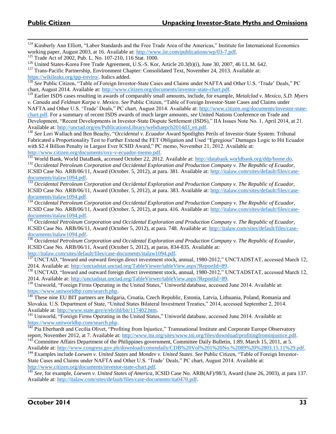<sup>124</sup> Kimberly Ann Elliott, "Labor Standards and the Free Trade Area of the Americas," Institute for International Economics working paper, August 2003, at 16. Available at: [http://www.iie.com/publications/wp/03-7.pdf.](http://www.iie.com/publications/wp/03-7.pdf)

<sup>125</sup> Trade Act of 2002, Pub. L. No. 107-210, 116 Stat. 1000.

<sup>126</sup> United States-Korea Free Trade Agreement, U.S.-S. Kor, Article 20.3(b)(i), June 30, 2007, 46 I.L.M. 642.

<sup>127</sup> Trans-Pacific Partnership, Environment Chapter: Consolidated Text, November 24, 2013. Available at: [https://wikileaks.org/tpp-enviro/.](https://wikileaks.org/tpp-enviro/) Italics added.

<sup>128</sup> *See* Public Citizen, "Table of Foreign Investor-State Cases and Claims under NAFTA and Other U.S. 'Trade' Deals," PC chart, August 2014. Available at[: http://www.citizen.org/documents/investor-state-chart.pdf.](http://www.citizen.org/documents/investor-state-chart.pdf)

<sup>129</sup> Earlier ISDS cases resulting in awards of comparably small amounts, include, for example, *Metalclad v. Mexico*, *S.D. Myers v. Canada* and *Feldman Karpa v. Mexico*. *See* Public Citizen, "Table of Foreign Investor-State Cases and Claims under NAFTA and Other U.S. 'Trade' Deals," PC chart, August 2014. Available at: [http://www.citizen.org/documents/investor-state](http://www.citizen.org/documents/investor-state-chart.pdf)[chart.pdf.](http://www.citizen.org/documents/investor-state-chart.pdf) For a summary of recent ISDS awards of much larger amounts, *see* United Nations Conference on Trade and Development, "Recent Developments in Investor-State Dispute Settlement (ISDS)," IIA Issues Note No. 1, April 2014, at 21. Available at: [http://unctad.org/en/PublicationsLibrary/webdiaepcb2014d3\\_en.pdf.](http://unctad.org/en/PublicationsLibrary/webdiaepcb2014d3_en.pdf)

<sup>130</sup> *See* Lori Wallach and Ben Beachy, "*Occidental v. Ecuador* Award Spotlights Perils of Investor-State System: Tribunal Fabricated a Proportionality Test to Further Extend the FET Obligation and Used "Egregious" Damages Logic to Hit Ecuador with \$2.4 Billion Penalty in Largest Ever ICSID Award," PC memo, November 21, 2012. Available at: [http://www.citizen.org/documents/oxy-v-ecuador-memo.pdf.](http://www.citizen.org/documents/oxy-v-ecuador-memo.pdf) 

<sup>131</sup> World Bank, World DataBank, accessed October 22, 2012. Available at: [http://databank.worldbank.org/ddp/home.do.](http://databank.worldbank.org/ddp/home.do) <sup>132</sup> Occidental Petroleum Corporation and Occidental Exploration and Production Company v. The Republic of Ecuador, ICSID Case No. ARB/06/11, Award (October. 5, 2012), at para. 381. Available at: [http://italaw.com/sites/default/files/case](http://italaw.com/sites/default/files/case-documents/italaw1094.pdf)[documents/italaw1094.pdf.](http://italaw.com/sites/default/files/case-documents/italaw1094.pdf)

<sup>133</sup> Occidental Petroleum Corporation and Occidental Exploration and Production Company v. The Republic of Ecuador, ICSID Case No. ARB/06/11, Award (October. 5, 2012), at para. 383. Available at[: http://italaw.com/sites/default/files/case](http://italaw.com/sites/default/files/case-documents/italaw1094.pdf)[documents/italaw1094.pdf.](http://italaw.com/sites/default/files/case-documents/italaw1094.pdf)

<sup>134</sup> *Occidental Petroleum Corporation and Occidental Exploration and Production Company v. The Republic of Ecuador,* ICSID Case No. ARB/06/11, Award (October. 5, 2012), at para. 416. Available at: [http://italaw.com/sites/default/files/case](http://italaw.com/sites/default/files/case-documents/italaw1094.pdf)[documents/italaw1094.pdf.](http://italaw.com/sites/default/files/case-documents/italaw1094.pdf)

<sup>135</sup> *Occidental Petroleum Corporation and Occidental Exploration and Production Company v. The Republic of Ecuador*, ICSID Case No. ARB/06/11, Award (October 5, 2012), at para. 748. Available at: [http://italaw.com/sites/default/files/case](http://italaw.com/sites/default/files/case-documents/italaw1094.pdf)[documents/italaw1094.pdf.](http://italaw.com/sites/default/files/case-documents/italaw1094.pdf)

<sup>136</sup> *Occidental Petroleum Corporation and Occidental Exploration and Production Company v. The Republic of Ecuador*, ICSID Case No. ARB/06/11, Award (October 5, 2012), at paras. 834-835. Available at:

[http://italaw.com/sites/default/files/case-documents/italaw1094.pdf.](http://italaw.com/sites/default/files/case-documents/italaw1094.pdf)

 $\frac{137}{137}$  UNCTAD, "Inward and outward foreign direct investment stock, annual, 1980-2012," UNCTADSTAT, accessed March 12, 2014. Available at: [http://unctadstat.unctad.org/TableViewer/tableView.aspx?ReportId=89.](http://unctadstat.unctad.org/TableViewer/tableView.aspx?ReportId=89)

<sup>138</sup> UNCTAD, "Inward and outward foreign direct investment stock, annual, 1980-2012," UNCTADSTAT, accessed March 12, 2014. Available at: [http://unctadstat.unctad.org/TableViewer/tableView.aspx?ReportId=89.](http://unctadstat.unctad.org/TableViewer/tableView.aspx?ReportId=89)

<sup>139</sup> Uniworld, "Foreign Firms Operating in the United States," Uniworld database, accessed June 2014. Available at: [https://www.uniworldbp.com/search.php.](https://www.uniworldbp.com/search.php)

<sup>140</sup> These nine EU BIT partners are Bulgaria, Croatia, Czech Republic, Estonia, Latvia, Lithuania, Poland, Romania and Slovakia. U.S. Department of State, "United States Bilateral Investment Treaties," 2014, accessed September 2, 2014. Available at: [http://www.state.gov/e/eb/ifd/bit/117402.htm.](http://www.state.gov/e/eb/ifd/bit/117402.htm)

<sup>141</sup> Uniworld, "Foreign Firms Operating in the United States," Uniworld database, accessed June 2014. Available at: [https://www.uniworldbp.com/search.php.](https://www.uniworldbp.com/search.php)

 $142$  Pia Eberhardt and Cecilia Olivet, "Profiting from Injustice," Transnational Institute and Corporate Europe Observatory report, November 2012, at 7. Available at: [http://www.tni.org/sites/www.tni.org/files/download/profitingfrominjustice.pdf.](http://www.tni.org/sites/www.tni.org/files/download/profitingfrominjustice.pdf)

 $143$  Committee Affairs Department of the Philippines government, Committee Daily Bulletin, 1:89, March 15, 2011, at 5. Available at: [http://www.congress.gov.ph/download/commdaily/CDB%20Vol%201%20No.%2089%20%2803.15.11%29.pdf.](http://www.congress.gov.ph/download/commdaily/CDB%20Vol%201%20No.%2089%20%2803.15.11%29.pdf)

<sup>144</sup> Examples include *Loewen v. United States* and *Mondev v. United States*. *See* Public Citizen, "Table of Foreign Investor-State Cases and Claims under NAFTA and Other U.S. 'Trade' Deals," PC chart, August 2014. Available at: [http://www.citizen.org/documents/investor-state-chart.pdf.](http://www.citizen.org/documents/investor-state-chart.pdf)

<sup>145</sup> *See*, for example, *Loewen v. United States of America*, ICSID Case No. ARB(AF)/98/3, Award (June 26, 2003), at para 137. Available at: [http://italaw.com/sites/default/files/case-documents/ita0470.pdf.](http://italaw.com/sites/default/files/case-documents/ita0470.pdf)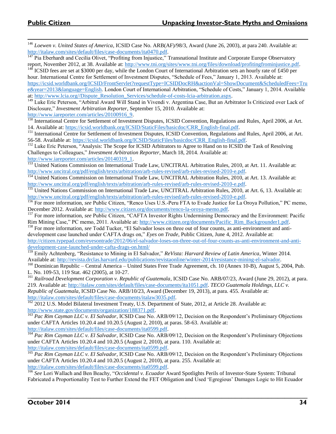<sup>146</sup> *Loewen v. United States of America*, ICSID Case No. ARB(AF)/98/3, Award (June 26, 2003), at para 240. Available at: [http://italaw.com/sites/default/files/case-documents/ita0470.pdf.](http://italaw.com/sites/default/files/case-documents/ita0470.pdf)

 $\overline{147}$  Pia Eberhardt and Cecilia Olivet, "Profiting from Injustice," Transnational Institute and Corporate Europe Observatory report, November 2012, at 38. Available at[: http://www.tni.org/sites/www.tni.org/files/download/profitingfrominjustice.pdf.](http://www.tni.org/sites/www.tni.org/files/download/profitingfrominjustice.pdf)

<sup>148</sup> ICSID fees are set at \$3000 per day, while the London Court of International Arbitration sets an hourly rate of £450 per hour. International Centre for Settlement of Investment Disputes, "Schedule of Fees," January 1, 2013. Available at: [https://icsid.worldbank.org/ICSID/FrontServlet?requestType=ICSIDDocRH&actionVal=ShowDocument&ScheduledFees=Tru](https://icsid.worldbank.org/ICSID/FrontServlet?requestType=ICSIDDocRH&actionVal=ShowDocument&ScheduledFees=True&year=2013&language=English) [e&year=2013&language=English.](https://icsid.worldbank.org/ICSID/FrontServlet?requestType=ICSIDDocRH&actionVal=ShowDocument&ScheduledFees=True&year=2013&language=English) London Court of International Arbitration, "Schedule of Costs," January 1, 2014. Available at: [http://www.lcia.org//Dispute\\_Resolution\\_Services/schedule-of-costs-lcia-arbitration.aspx.](http://www.lcia.org/Dispute_Resolution_Services/schedule-of-costs-lcia-arbitration.aspx)

<sup>149</sup> Luke Eric Peterson, "Arbitral Award Will Stand in Vivendi v. Argentina Case, But an Arbitrator Is Criticized over Lack of Disclosure," *Investment Arbitration Reporter*, September 15, 2010. Available at:

[http://www.iareporter.com/articles/20100916\\_9.](http://www.iareporter.com/articles/20100916_9)

<sup>150</sup> International Centre for Settlement of Investment Disputes, ICSID Convention, Regulations and Rules, April 2006, at Art. 14. Available at: [https://icsid.worldbank.org/ICSID/StaticFiles/basicdoc/CRR\\_English-final.pdf.](https://icsid.worldbank.org/ICSID/StaticFiles/basicdoc/CRR_English-final.pdf)

<sup>151</sup> International Centre for Settlement of Investment Disputes, ICSID Convention, Regulations and Rules, April 2006, at Art. 56-58. Available at: [https://icsid.worldbank.org/ICSID/StaticFiles/basicdoc/CRR\\_English-final.pdf.](https://icsid.worldbank.org/ICSID/StaticFiles/basicdoc/CRR_English-final.pdf)

<sup>152</sup> Luke Eric Peterson, "Analysis: The Scope for ICSID Arbitrators to Agree to Hand on to ICSID the Task of Resolving Challenges to Colleagues," *Investment Arbitration Reporter*, March 18, 2014. Available at: [http://www.iareporter.com/articles/20140319\\_1.](http://www.iareporter.com/articles/20140319_1)

<sup>153</sup> United Nations Commission on International Trade Law, UNCITRAL Arbitration Rules, 2010, at Art. 11. Available at: [http://www.uncitral.org/pdf/english/texts/arbitration/arb-rules-revised/arb-rules-revised-2010-e.pdf.](http://www.uncitral.org/pdf/english/texts/arbitration/arb-rules-revised/arb-rules-revised-2010-e.pdf)

<sup>154</sup> United Nations Commission on International Trade Law, UNCITRAL Arbitration Rules, 2010, at Art. 13. Available at: [http://www.uncitral.org/pdf/english/texts/arbitration/arb-rules-revised/arb-rules-revised-2010-e.pdf.](http://www.uncitral.org/pdf/english/texts/arbitration/arb-rules-revised/arb-rules-revised-2010-e.pdf)

<sup>155</sup> United Nations Commission on International Trade Law, UNCITRAL Arbitration Rules, 2010, at Art. 6, 13. Available at: [http://www.uncitral.org/pdf/english/texts/arbitration/arb-rules-revised/arb-rules-revised-2010-e.pdf.](http://www.uncitral.org/pdf/english/texts/arbitration/arb-rules-revised/arb-rules-revised-2010-e.pdf)

<sup>156</sup> For more information, *see* Public Citizen, "Renco Uses U.S.-Peru FTA to Evade Justice for La Oroya Pollution," PC memo, December 2012. Available at: [http://www.citizen.org/documents/renco-la-oroya-memo.pdf.](http://www.citizen.org/documents/renco-la-oroya-memo.pdf)

<sup>157</sup> For more information, *see* Public Citizen, "CAFTA Investor Rights Undermining Democracy and the Environment: Pacific Rim Mining Case," PC memo, 2011. Available at: [http://www.citizen.org/documents/Pacific\\_Rim\\_Backgrounder1.pdf.](http://www.citizen.org/documents/Pacific_Rim_Backgrounder1.pdf)

<sup>158</sup> For more information, *see* Todd Tucker, "El Salvador loses on three out of four counts, as anti-environment and antidevelopment case launched under CAFTA drags on," *Eyes on Trade*, Public Citizen, June 4, 2012. Available at: [http://citizen.typepad.com/eyesontrade/2012/06/el-salvador-loses-on-three-out-of-four-counts-as-anti-environment-and-anti-](http://citizen.typepad.com/eyesontrade/2012/06/el-salvador-loses-on-three-out-of-four-counts-as-anti-environment-and-anti-development-case-launched-under-cafta-drags-on.html/)

[development-case-launched-under-cafta-drags-on.html/](http://citizen.typepad.com/eyesontrade/2012/06/el-salvador-loses-on-three-out-of-four-counts-as-anti-environment-and-anti-development-case-launched-under-cafta-drags-on.html/)

<sup>159</sup> Emily Achtenberg, "Resistance to Mining in El Salvador," *ReVista: Harvard Review of Latin America*, Winter 2014. Available at: [http://revista.drclas.harvard.edu/publications/revistaonline/winter-2014/resistance-mining-el-salvador.](http://revista.drclas.harvard.edu/publications/revistaonline/winter-2014/resistance-mining-el-salvador)

<sup>160</sup> Dominican Republic – Central America – United States Free Trade Agreement, ch. 10 (Annex 10-B), August 5, 2004, Pub. L. No. 109-53, 119 Stat. 462 (2005), at 10-27.

<sup>161</sup> *Railroad Development Corporation v. Republic of Guatemala*, ICSID Case No. ARB/07/23, Award (June 29, 2012), at para. 219. Available at: [http://italaw.com/sites/default/files/case-documents/ita1051.pdf.](http://italaw.com/sites/default/files/case-documents/ita1051.pdf) *TECO Guatemala Holdings, LLC v. Republic of Guatemala*, ICSID Case No. ARB/10/23, Award (December 19, 2013), at para. 455. Available at: [http://italaw.com/sites/default/files/case-documents/italaw3035.pdf.](http://italaw.com/sites/default/files/case-documents/italaw3035.pdf)

<sup>162</sup> 2012 U.S. Model Bilateral Investment Treaty, U.S. Department of State, 2012, at Article 28. Available at: [http://www.state.gov/documents/organization/188371.pdf.](http://www.state.gov/documents/organization/188371.pdf)

<sup>163</sup> *Pac Rim Cayman LLC v. El Salvador*, ICSID Case No. ARB/09/12, Decision on the Respondent's Preliminary Objections under CAFTA Articles 10.20.4 and 10.20.5 (August 2, 2010), at paras. 58-63. Available at: [http://italaw.com/sites/default/files/case-documents/ita0599.pdf.](http://italaw.com/sites/default/files/case-documents/ita0599.pdf)

<sup>164</sup> *Pac Rim Cayman LLC v. El Salvador*, ICSID Case No. ARB/09/12, Decision on the Respondent's Preliminary Objections under CAFTA Articles 10.20.4 and 10.20.5 (August 2, 2010), at para. 110. Available at: [http://italaw.com/sites/default/files/case-documents/ita0599.pdf.](http://italaw.com/sites/default/files/case-documents/ita0599.pdf)

<sup>165</sup> *Pac Rim Cayman LLC v. El Salvador*, ICSID Case No. ARB/09/12, Decision on the Respondent's Preliminary Objections under CAFTA Articles 10.20.4 and 10.20.5 (August 2, 2010), at para. 255. Available at: [http://italaw.com/sites/default/files/case-documents/ita0599.pdf.](http://italaw.com/sites/default/files/case-documents/ita0599.pdf)

<sup>166</sup> *See* Lori Wallach and Ben Beachy, "*Occidental v. Ecuador* Award Spotlights Perils of Investor-State System: Tribunal Fabricated a Proportionality Test to Further Extend the FET Obligation and Used 'Egregious' Damages Logic to Hit Ecuador

\_**\_\_\_\_\_\_\_\_\_\_\_\_\_\_\_\_\_\_\_\_\_\_\_\_\_\_\_\_\_\_\_\_\_\_\_\_\_\_\_\_\_\_\_\_\_\_\_\_\_\_\_\_\_\_\_\_\_\_\_\_\_\_\_\_\_\_\_\_\_\_\_\_\_\_\_\_\_\_\_\_\_\_\_\_**